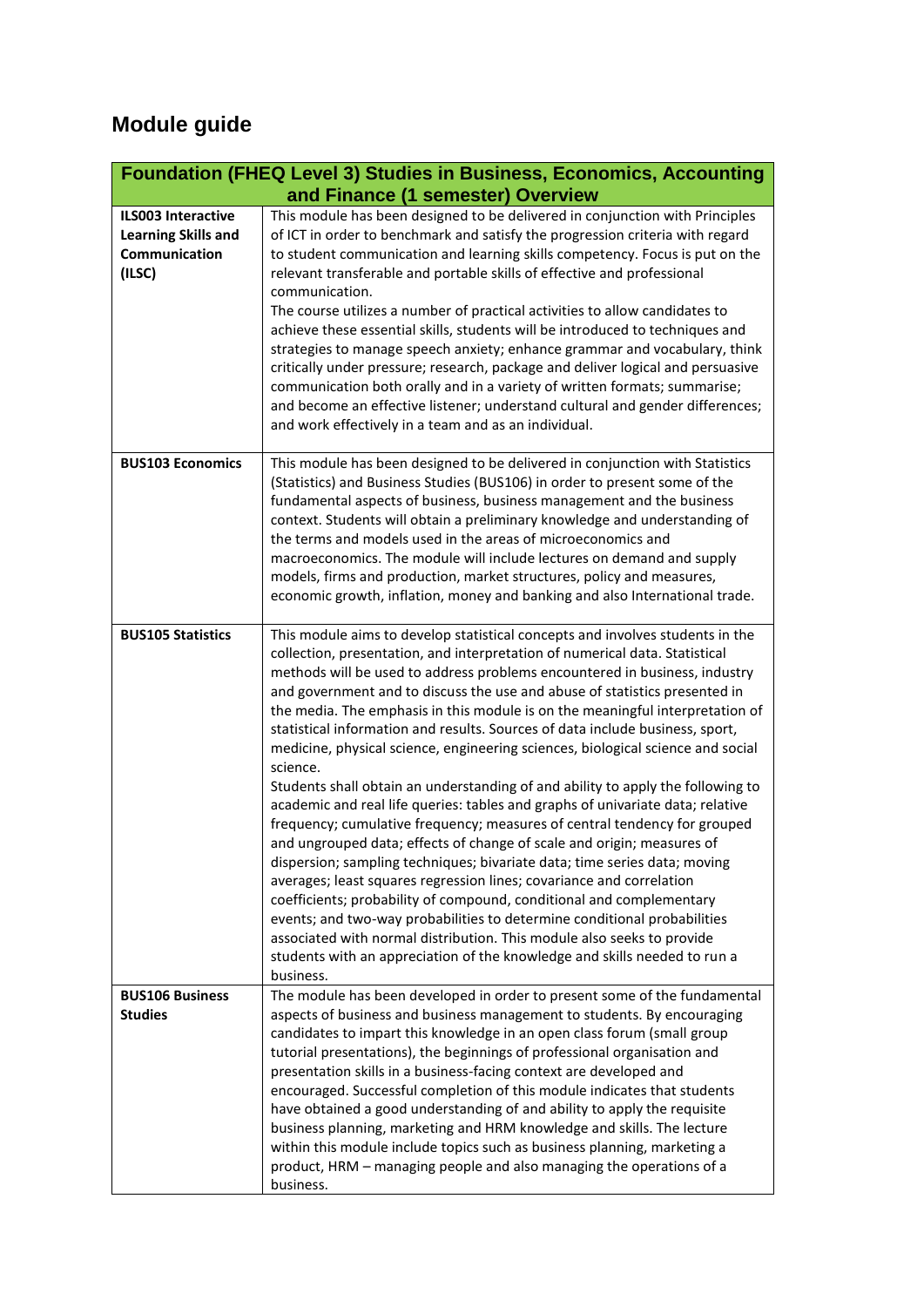## **Module guide**

|                                                                                    | <b>Foundation (FHEQ Level 3) Studies in Business, Economics, Accounting</b>                                                                                                                                                                                                                                                                                                                                                                                                                                                                                                                                                                                                                                                                                                                                                                                                                                                                                                                                                                                                                                                                                                                                                                                                                                                                                                                        |
|------------------------------------------------------------------------------------|----------------------------------------------------------------------------------------------------------------------------------------------------------------------------------------------------------------------------------------------------------------------------------------------------------------------------------------------------------------------------------------------------------------------------------------------------------------------------------------------------------------------------------------------------------------------------------------------------------------------------------------------------------------------------------------------------------------------------------------------------------------------------------------------------------------------------------------------------------------------------------------------------------------------------------------------------------------------------------------------------------------------------------------------------------------------------------------------------------------------------------------------------------------------------------------------------------------------------------------------------------------------------------------------------------------------------------------------------------------------------------------------------|
|                                                                                    | and Finance (1 semester) Overview                                                                                                                                                                                                                                                                                                                                                                                                                                                                                                                                                                                                                                                                                                                                                                                                                                                                                                                                                                                                                                                                                                                                                                                                                                                                                                                                                                  |
| <b>ILS003 Interactive</b><br><b>Learning Skills and</b><br>Communication<br>(ILSC) | This module has been designed to be delivered in conjunction with Principles<br>of ICT in order to benchmark and satisfy the progression criteria with regard<br>to student communication and learning skills competency. Focus is put on the<br>relevant transferable and portable skills of effective and professional<br>communication.<br>The course utilizes a number of practical activities to allow candidates to<br>achieve these essential skills, students will be introduced to techniques and<br>strategies to manage speech anxiety; enhance grammar and vocabulary, think<br>critically under pressure; research, package and deliver logical and persuasive<br>communication both orally and in a variety of written formats; summarise;<br>and become an effective listener; understand cultural and gender differences;<br>and work effectively in a team and as an individual.                                                                                                                                                                                                                                                                                                                                                                                                                                                                                                  |
| <b>BUS103 Economics</b>                                                            | This module has been designed to be delivered in conjunction with Statistics<br>(Statistics) and Business Studies (BUS106) in order to present some of the<br>fundamental aspects of business, business management and the business<br>context. Students will obtain a preliminary knowledge and understanding of<br>the terms and models used in the areas of microeconomics and<br>macroeconomics. The module will include lectures on demand and supply<br>models, firms and production, market structures, policy and measures,<br>economic growth, inflation, money and banking and also International trade.                                                                                                                                                                                                                                                                                                                                                                                                                                                                                                                                                                                                                                                                                                                                                                                 |
| <b>BUS105 Statistics</b>                                                           | This module aims to develop statistical concepts and involves students in the<br>collection, presentation, and interpretation of numerical data. Statistical<br>methods will be used to address problems encountered in business, industry<br>and government and to discuss the use and abuse of statistics presented in<br>the media. The emphasis in this module is on the meaningful interpretation of<br>statistical information and results. Sources of data include business, sport,<br>medicine, physical science, engineering sciences, biological science and social<br>science.<br>Students shall obtain an understanding of and ability to apply the following to<br>academic and real life queries: tables and graphs of univariate data; relative<br>frequency; cumulative frequency; measures of central tendency for grouped<br>and ungrouped data; effects of change of scale and origin; measures of<br>dispersion; sampling techniques; bivariate data; time series data; moving<br>averages; least squares regression lines; covariance and correlation<br>coefficients; probability of compound, conditional and complementary<br>events; and two-way probabilities to determine conditional probabilities<br>associated with normal distribution. This module also seeks to provide<br>students with an appreciation of the knowledge and skills needed to run a<br>business. |
| <b>BUS106 Business</b><br><b>Studies</b>                                           | The module has been developed in order to present some of the fundamental<br>aspects of business and business management to students. By encouraging<br>candidates to impart this knowledge in an open class forum (small group<br>tutorial presentations), the beginnings of professional organisation and<br>presentation skills in a business-facing context are developed and<br>encouraged. Successful completion of this module indicates that students<br>have obtained a good understanding of and ability to apply the requisite<br>business planning, marketing and HRM knowledge and skills. The lecture<br>within this module include topics such as business planning, marketing a<br>product, HRM - managing people and also managing the operations of a<br>business.                                                                                                                                                                                                                                                                                                                                                                                                                                                                                                                                                                                                               |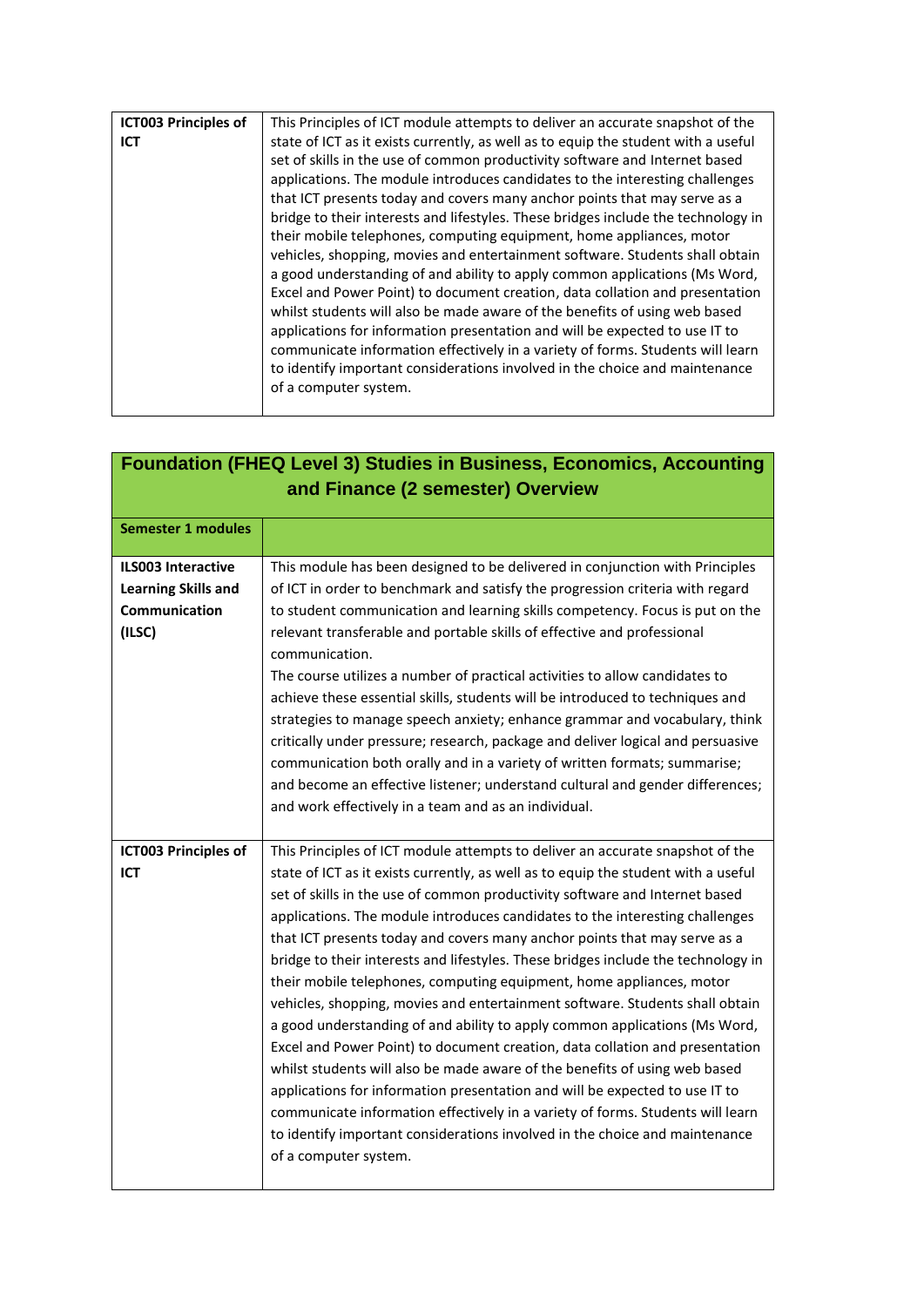| <b>ICT003 Principles of</b> | This Principles of ICT module attempts to deliver an accurate snapshot of the      |
|-----------------------------|------------------------------------------------------------------------------------|
| ICT                         | state of ICT as it exists currently, as well as to equip the student with a useful |
|                             | set of skills in the use of common productivity software and Internet based        |
|                             | applications. The module introduces candidates to the interesting challenges       |
|                             | that ICT presents today and covers many anchor points that may serve as a          |
|                             | bridge to their interests and lifestyles. These bridges include the technology in  |
|                             | their mobile telephones, computing equipment, home appliances, motor               |
|                             | vehicles, shopping, movies and entertainment software. Students shall obtain       |
|                             | a good understanding of and ability to apply common applications (Ms Word,         |
|                             | Excel and Power Point) to document creation, data collation and presentation       |
|                             | whilst students will also be made aware of the benefits of using web based         |
|                             | applications for information presentation and will be expected to use IT to        |
|                             | communicate information effectively in a variety of forms. Students will learn     |
|                             | to identify important considerations involved in the choice and maintenance        |
|                             | of a computer system.                                                              |
|                             |                                                                                    |

|                                                                                    | <b>Foundation (FHEQ Level 3) Studies in Business, Economics, Accounting</b><br>and Finance (2 semester) Overview                                                                                                                                                                                                                                                                                                                                                                                                                                                                                                                                                                                                                                                                                                                                                                                                                                                                                                                                                                                                                                                                  |
|------------------------------------------------------------------------------------|-----------------------------------------------------------------------------------------------------------------------------------------------------------------------------------------------------------------------------------------------------------------------------------------------------------------------------------------------------------------------------------------------------------------------------------------------------------------------------------------------------------------------------------------------------------------------------------------------------------------------------------------------------------------------------------------------------------------------------------------------------------------------------------------------------------------------------------------------------------------------------------------------------------------------------------------------------------------------------------------------------------------------------------------------------------------------------------------------------------------------------------------------------------------------------------|
| <b>Semester 1 modules</b>                                                          |                                                                                                                                                                                                                                                                                                                                                                                                                                                                                                                                                                                                                                                                                                                                                                                                                                                                                                                                                                                                                                                                                                                                                                                   |
| <b>ILS003 Interactive</b><br><b>Learning Skills and</b><br>Communication<br>(ILSC) | This module has been designed to be delivered in conjunction with Principles<br>of ICT in order to benchmark and satisfy the progression criteria with regard<br>to student communication and learning skills competency. Focus is put on the<br>relevant transferable and portable skills of effective and professional<br>communication.<br>The course utilizes a number of practical activities to allow candidates to<br>achieve these essential skills, students will be introduced to techniques and<br>strategies to manage speech anxiety; enhance grammar and vocabulary, think<br>critically under pressure; research, package and deliver logical and persuasive<br>communication both orally and in a variety of written formats; summarise;<br>and become an effective listener; understand cultural and gender differences;<br>and work effectively in a team and as an individual.                                                                                                                                                                                                                                                                                 |
| <b>ICT003 Principles of</b><br>ICT                                                 | This Principles of ICT module attempts to deliver an accurate snapshot of the<br>state of ICT as it exists currently, as well as to equip the student with a useful<br>set of skills in the use of common productivity software and Internet based<br>applications. The module introduces candidates to the interesting challenges<br>that ICT presents today and covers many anchor points that may serve as a<br>bridge to their interests and lifestyles. These bridges include the technology in<br>their mobile telephones, computing equipment, home appliances, motor<br>vehicles, shopping, movies and entertainment software. Students shall obtain<br>a good understanding of and ability to apply common applications (Ms Word,<br>Excel and Power Point) to document creation, data collation and presentation<br>whilst students will also be made aware of the benefits of using web based<br>applications for information presentation and will be expected to use IT to<br>communicate information effectively in a variety of forms. Students will learn<br>to identify important considerations involved in the choice and maintenance<br>of a computer system. |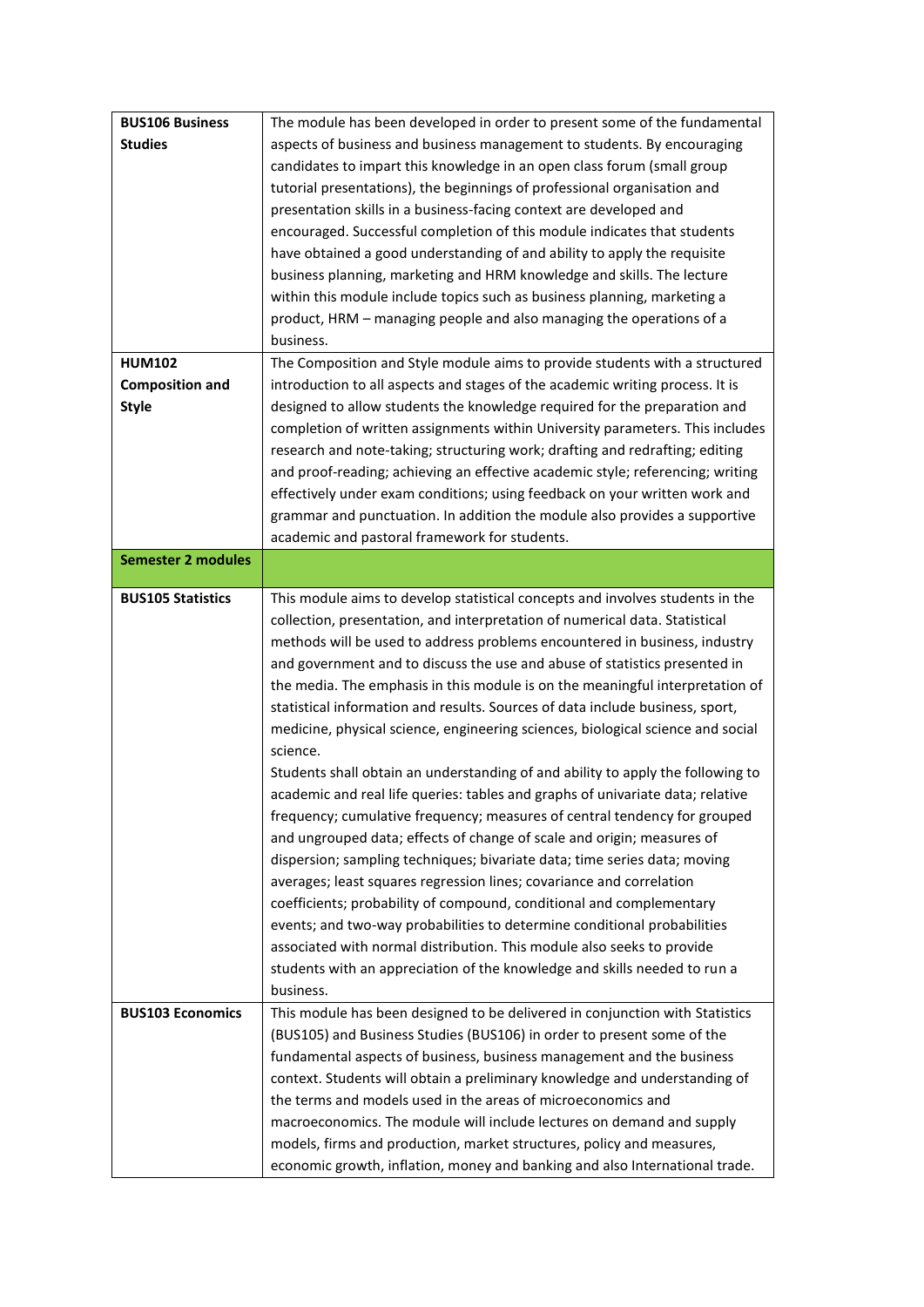| <b>BUS106 Business</b>    | The module has been developed in order to present some of the fundamental                                                   |
|---------------------------|-----------------------------------------------------------------------------------------------------------------------------|
| <b>Studies</b>            | aspects of business and business management to students. By encouraging                                                     |
|                           | candidates to impart this knowledge in an open class forum (small group                                                     |
|                           | tutorial presentations), the beginnings of professional organisation and                                                    |
|                           | presentation skills in a business-facing context are developed and                                                          |
|                           | encouraged. Successful completion of this module indicates that students                                                    |
|                           | have obtained a good understanding of and ability to apply the requisite                                                    |
|                           | business planning, marketing and HRM knowledge and skills. The lecture                                                      |
|                           | within this module include topics such as business planning, marketing a                                                    |
|                           | product, HRM - managing people and also managing the operations of a                                                        |
|                           | business.                                                                                                                   |
| <b>HUM102</b>             | The Composition and Style module aims to provide students with a structured                                                 |
| <b>Composition and</b>    | introduction to all aspects and stages of the academic writing process. It is                                               |
| <b>Style</b>              | designed to allow students the knowledge required for the preparation and                                                   |
|                           | completion of written assignments within University parameters. This includes                                               |
|                           | research and note-taking; structuring work; drafting and redrafting; editing                                                |
|                           | and proof-reading; achieving an effective academic style; referencing; writing                                              |
|                           | effectively under exam conditions; using feedback on your written work and                                                  |
|                           |                                                                                                                             |
|                           | grammar and punctuation. In addition the module also provides a supportive<br>academic and pastoral framework for students. |
| <b>Semester 2 modules</b> |                                                                                                                             |
|                           |                                                                                                                             |
| <b>BUS105 Statistics</b>  | This module aims to develop statistical concepts and involves students in the                                               |
|                           | collection, presentation, and interpretation of numerical data. Statistical                                                 |
|                           | methods will be used to address problems encountered in business, industry                                                  |
|                           | and government and to discuss the use and abuse of statistics presented in                                                  |
|                           | the media. The emphasis in this module is on the meaningful interpretation of                                               |
|                           | statistical information and results. Sources of data include business, sport,                                               |
|                           | medicine, physical science, engineering sciences, biological science and social                                             |
|                           | science.                                                                                                                    |
|                           | Students shall obtain an understanding of and ability to apply the following to                                             |
|                           | academic and real life queries: tables and graphs of univariate data; relative                                              |
|                           | frequency; cumulative frequency; measures of central tendency for grouped                                                   |
|                           | and ungrouped data; effects of change of scale and origin; measures of                                                      |
|                           | dispersion; sampling techniques; bivariate data; time series data; moving                                                   |
|                           | averages; least squares regression lines; covariance and correlation                                                        |
|                           | coefficients; probability of compound, conditional and complementary                                                        |
|                           | events; and two-way probabilities to determine conditional probabilities                                                    |
|                           | associated with normal distribution. This module also seeks to provide                                                      |
|                           | students with an appreciation of the knowledge and skills needed to run a                                                   |
|                           | business.                                                                                                                   |
| <b>BUS103 Economics</b>   | This module has been designed to be delivered in conjunction with Statistics                                                |
|                           | (BUS105) and Business Studies (BUS106) in order to present some of the                                                      |
|                           | fundamental aspects of business, business management and the business                                                       |
|                           | context. Students will obtain a preliminary knowledge and understanding of                                                  |
|                           | the terms and models used in the areas of microeconomics and                                                                |
|                           | macroeconomics. The module will include lectures on demand and supply                                                       |
|                           | models, firms and production, market structures, policy and measures,                                                       |
|                           | economic growth, inflation, money and banking and also International trade.                                                 |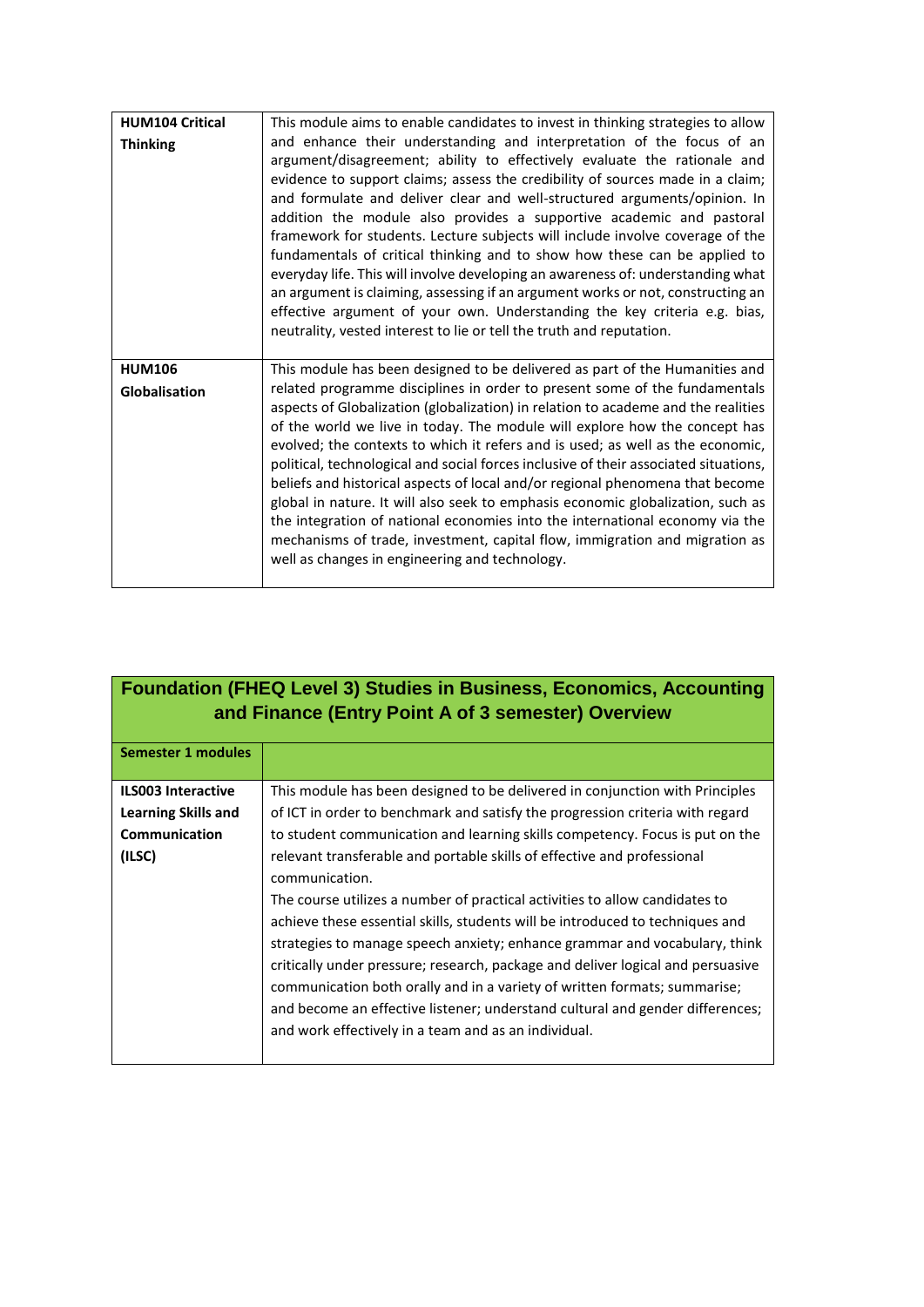| <b>HUM104 Critical</b><br><b>Thinking</b> | This module aims to enable candidates to invest in thinking strategies to allow<br>and enhance their understanding and interpretation of the focus of an<br>argument/disagreement; ability to effectively evaluate the rationale and<br>evidence to support claims; assess the credibility of sources made in a claim;<br>and formulate and deliver clear and well-structured arguments/opinion. In<br>addition the module also provides a supportive academic and pastoral<br>framework for students. Lecture subjects will include involve coverage of the<br>fundamentals of critical thinking and to show how these can be applied to<br>everyday life. This will involve developing an awareness of: understanding what<br>an argument is claiming, assessing if an argument works or not, constructing an<br>effective argument of your own. Understanding the key criteria e.g. bias,<br>neutrality, vested interest to lie or tell the truth and reputation. |
|-------------------------------------------|----------------------------------------------------------------------------------------------------------------------------------------------------------------------------------------------------------------------------------------------------------------------------------------------------------------------------------------------------------------------------------------------------------------------------------------------------------------------------------------------------------------------------------------------------------------------------------------------------------------------------------------------------------------------------------------------------------------------------------------------------------------------------------------------------------------------------------------------------------------------------------------------------------------------------------------------------------------------|
| <b>HUM106</b><br>Globalisation            | This module has been designed to be delivered as part of the Humanities and<br>related programme disciplines in order to present some of the fundamentals<br>aspects of Globalization (globalization) in relation to academe and the realities<br>of the world we live in today. The module will explore how the concept has<br>evolved; the contexts to which it refers and is used; as well as the economic,<br>political, technological and social forces inclusive of their associated situations,<br>beliefs and historical aspects of local and/or regional phenomena that become<br>global in nature. It will also seek to emphasis economic globalization, such as<br>the integration of national economies into the international economy via the<br>mechanisms of trade, investment, capital flow, immigration and migration as<br>well as changes in engineering and technology.                                                                          |

|                            | <b>Foundation (FHEQ Level 3) Studies in Business, Economics, Accounting</b><br>and Finance (Entry Point A of 3 semester) Overview |
|----------------------------|-----------------------------------------------------------------------------------------------------------------------------------|
| <b>Semester 1 modules</b>  |                                                                                                                                   |
| <b>ILS003 Interactive</b>  | This module has been designed to be delivered in conjunction with Principles                                                      |
| <b>Learning Skills and</b> | of ICT in order to benchmark and satisfy the progression criteria with regard                                                     |
| Communication              | to student communication and learning skills competency. Focus is put on the                                                      |
| (ILSC)                     | relevant transferable and portable skills of effective and professional                                                           |
|                            | communication.                                                                                                                    |
|                            | The course utilizes a number of practical activities to allow candidates to                                                       |
|                            | achieve these essential skills, students will be introduced to techniques and                                                     |
|                            | strategies to manage speech anxiety; enhance grammar and vocabulary, think                                                        |
|                            | critically under pressure; research, package and deliver logical and persuasive                                                   |
|                            | communication both orally and in a variety of written formats; summarise;                                                         |
|                            | and become an effective listener; understand cultural and gender differences;                                                     |
|                            | and work effectively in a team and as an individual.                                                                              |
|                            |                                                                                                                                   |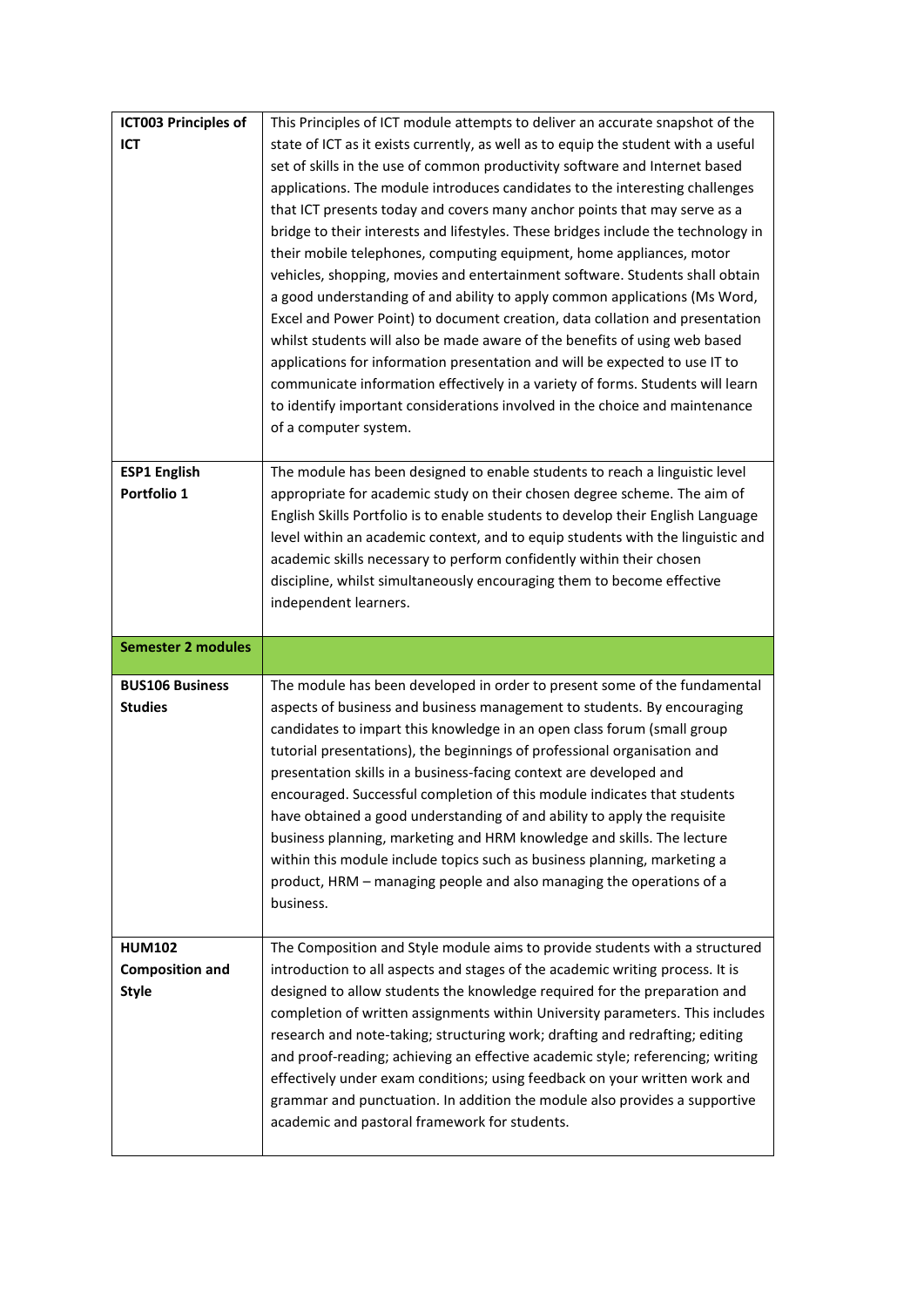| <b>ICT003 Principles of</b> | This Principles of ICT module attempts to deliver an accurate snapshot of the                                               |
|-----------------------------|-----------------------------------------------------------------------------------------------------------------------------|
| <b>ICT</b>                  | state of ICT as it exists currently, as well as to equip the student with a useful                                          |
|                             | set of skills in the use of common productivity software and Internet based                                                 |
|                             | applications. The module introduces candidates to the interesting challenges                                                |
|                             | that ICT presents today and covers many anchor points that may serve as a                                                   |
|                             | bridge to their interests and lifestyles. These bridges include the technology in                                           |
|                             | their mobile telephones, computing equipment, home appliances, motor                                                        |
|                             | vehicles, shopping, movies and entertainment software. Students shall obtain                                                |
|                             | a good understanding of and ability to apply common applications (Ms Word,                                                  |
|                             | Excel and Power Point) to document creation, data collation and presentation                                                |
|                             | whilst students will also be made aware of the benefits of using web based                                                  |
|                             | applications for information presentation and will be expected to use IT to                                                 |
|                             | communicate information effectively in a variety of forms. Students will learn                                              |
|                             | to identify important considerations involved in the choice and maintenance                                                 |
|                             | of a computer system.                                                                                                       |
|                             |                                                                                                                             |
| <b>ESP1 English</b>         | The module has been designed to enable students to reach a linguistic level                                                 |
| Portfolio 1                 | appropriate for academic study on their chosen degree scheme. The aim of                                                    |
|                             | English Skills Portfolio is to enable students to develop their English Language                                            |
|                             | level within an academic context, and to equip students with the linguistic and                                             |
|                             | academic skills necessary to perform confidently within their chosen                                                        |
|                             | discipline, whilst simultaneously encouraging them to become effective                                                      |
|                             | independent learners.                                                                                                       |
|                             |                                                                                                                             |
|                             |                                                                                                                             |
| <b>Semester 2 modules</b>   |                                                                                                                             |
| <b>BUS106 Business</b>      | The module has been developed in order to present some of the fundamental                                                   |
| <b>Studies</b>              | aspects of business and business management to students. By encouraging                                                     |
|                             | candidates to impart this knowledge in an open class forum (small group                                                     |
|                             | tutorial presentations), the beginnings of professional organisation and                                                    |
|                             | presentation skills in a business-facing context are developed and                                                          |
|                             | encouraged. Successful completion of this module indicates that students                                                    |
|                             | have obtained a good understanding of and ability to apply the requisite                                                    |
|                             | business planning, marketing and HRM knowledge and skills. The lecture                                                      |
|                             | within this module include topics such as business planning, marketing a                                                    |
|                             | product, HRM - managing people and also managing the operations of a                                                        |
|                             | business.                                                                                                                   |
|                             |                                                                                                                             |
| <b>HUM102</b>               | The Composition and Style module aims to provide students with a structured                                                 |
| <b>Composition and</b>      | introduction to all aspects and stages of the academic writing process. It is                                               |
| <b>Style</b>                | designed to allow students the knowledge required for the preparation and                                                   |
|                             | completion of written assignments within University parameters. This includes                                               |
|                             | research and note-taking; structuring work; drafting and redrafting; editing                                                |
|                             | and proof-reading; achieving an effective academic style; referencing; writing                                              |
|                             | effectively under exam conditions; using feedback on your written work and                                                  |
|                             | grammar and punctuation. In addition the module also provides a supportive<br>academic and pastoral framework for students. |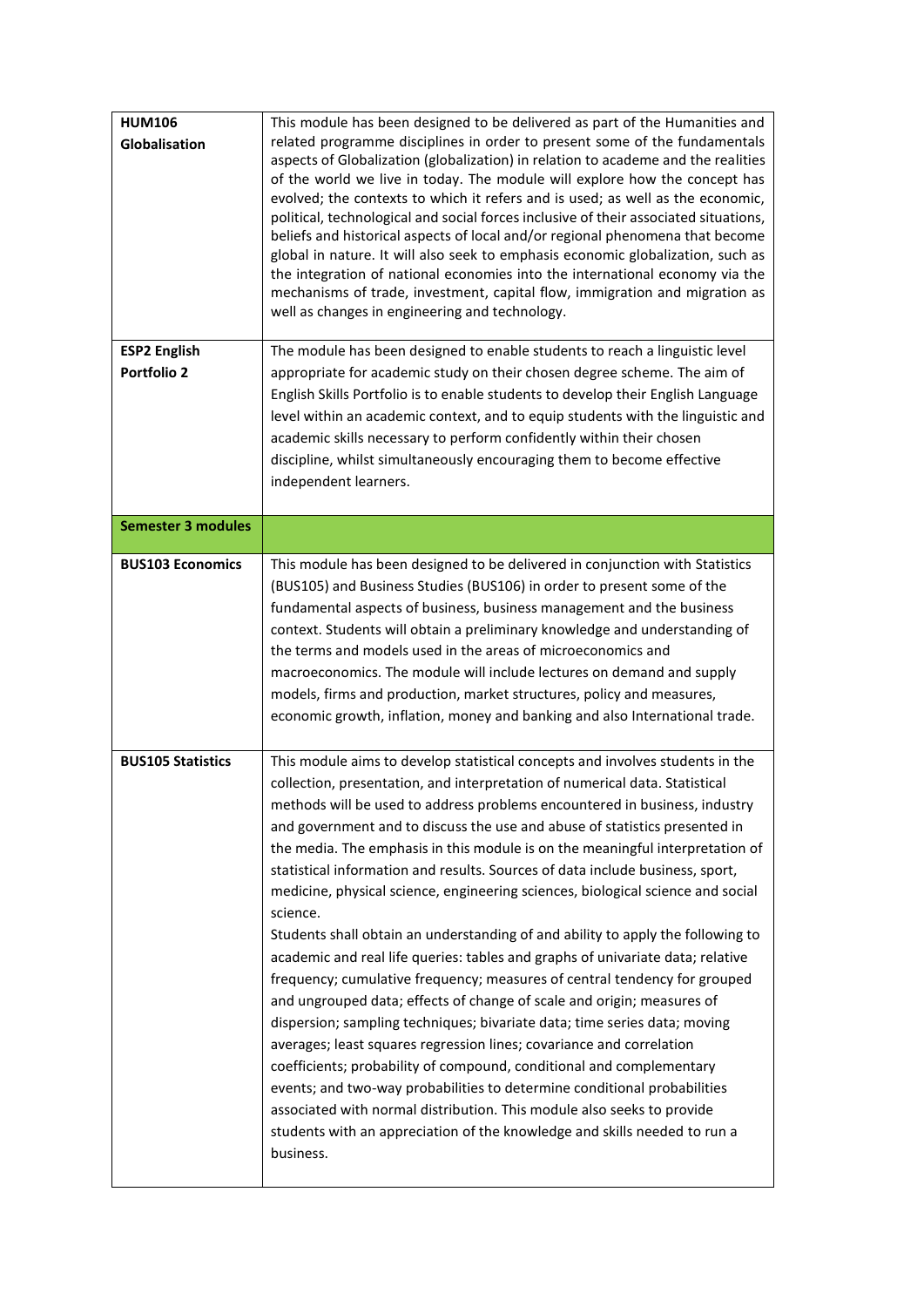| <b>HUM106</b><br>Globalisation<br><b>ESP2 English</b><br><b>Portfolio 2</b> | This module has been designed to be delivered as part of the Humanities and<br>related programme disciplines in order to present some of the fundamentals<br>aspects of Globalization (globalization) in relation to academe and the realities<br>of the world we live in today. The module will explore how the concept has<br>evolved; the contexts to which it refers and is used; as well as the economic,<br>political, technological and social forces inclusive of their associated situations,<br>beliefs and historical aspects of local and/or regional phenomena that become<br>global in nature. It will also seek to emphasis economic globalization, such as<br>the integration of national economies into the international economy via the<br>mechanisms of trade, investment, capital flow, immigration and migration as<br>well as changes in engineering and technology.<br>The module has been designed to enable students to reach a linguistic level<br>appropriate for academic study on their chosen degree scheme. The aim of<br>English Skills Portfolio is to enable students to develop their English Language<br>level within an academic context, and to equip students with the linguistic and<br>academic skills necessary to perform confidently within their chosen<br>discipline, whilst simultaneously encouraging them to become effective<br>independent learners. |
|-----------------------------------------------------------------------------|----------------------------------------------------------------------------------------------------------------------------------------------------------------------------------------------------------------------------------------------------------------------------------------------------------------------------------------------------------------------------------------------------------------------------------------------------------------------------------------------------------------------------------------------------------------------------------------------------------------------------------------------------------------------------------------------------------------------------------------------------------------------------------------------------------------------------------------------------------------------------------------------------------------------------------------------------------------------------------------------------------------------------------------------------------------------------------------------------------------------------------------------------------------------------------------------------------------------------------------------------------------------------------------------------------------------------------------------------------------------------------------------------------|
| <b>Semester 3 modules</b>                                                   |                                                                                                                                                                                                                                                                                                                                                                                                                                                                                                                                                                                                                                                                                                                                                                                                                                                                                                                                                                                                                                                                                                                                                                                                                                                                                                                                                                                                          |
| <b>BUS103 Economics</b>                                                     | This module has been designed to be delivered in conjunction with Statistics<br>(BUS105) and Business Studies (BUS106) in order to present some of the<br>fundamental aspects of business, business management and the business<br>context. Students will obtain a preliminary knowledge and understanding of<br>the terms and models used in the areas of microeconomics and<br>macroeconomics. The module will include lectures on demand and supply<br>models, firms and production, market structures, policy and measures,<br>economic growth, inflation, money and banking and also International trade.                                                                                                                                                                                                                                                                                                                                                                                                                                                                                                                                                                                                                                                                                                                                                                                           |
| <b>BUS105 Statistics</b>                                                    | This module aims to develop statistical concepts and involves students in the<br>collection, presentation, and interpretation of numerical data. Statistical<br>methods will be used to address problems encountered in business, industry<br>and government and to discuss the use and abuse of statistics presented in<br>the media. The emphasis in this module is on the meaningful interpretation of<br>statistical information and results. Sources of data include business, sport,<br>medicine, physical science, engineering sciences, biological science and social<br>science.<br>Students shall obtain an understanding of and ability to apply the following to<br>academic and real life queries: tables and graphs of univariate data; relative<br>frequency; cumulative frequency; measures of central tendency for grouped<br>and ungrouped data; effects of change of scale and origin; measures of<br>dispersion; sampling techniques; bivariate data; time series data; moving<br>averages; least squares regression lines; covariance and correlation<br>coefficients; probability of compound, conditional and complementary<br>events; and two-way probabilities to determine conditional probabilities<br>associated with normal distribution. This module also seeks to provide<br>students with an appreciation of the knowledge and skills needed to run a<br>business.       |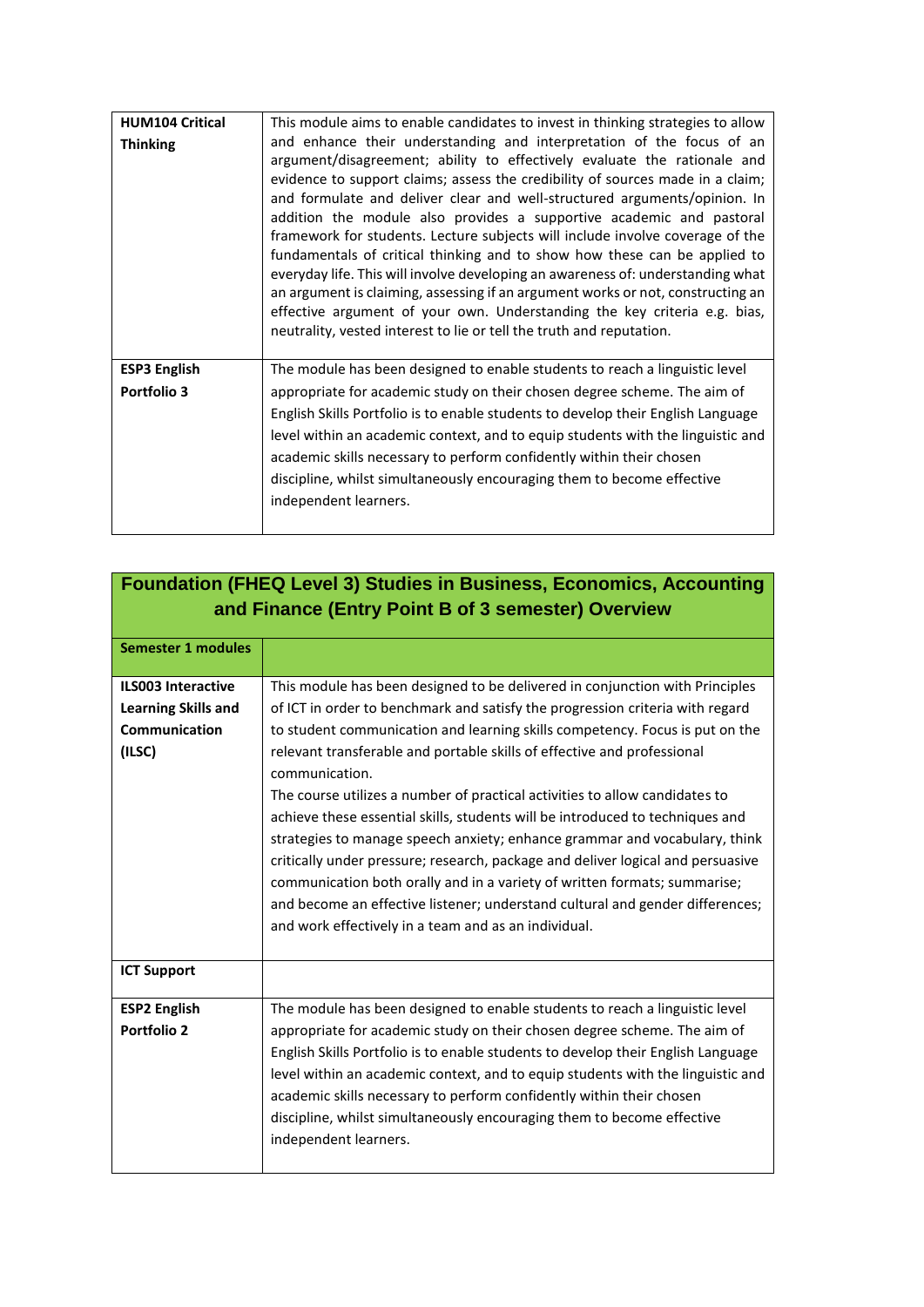| This module aims to enable candidates to invest in thinking strategies to allow                                                                                                                                                                                                                                                                                                                                                                                                                                                                                                                                                                                                                                                                                                                                                                                                   |
|-----------------------------------------------------------------------------------------------------------------------------------------------------------------------------------------------------------------------------------------------------------------------------------------------------------------------------------------------------------------------------------------------------------------------------------------------------------------------------------------------------------------------------------------------------------------------------------------------------------------------------------------------------------------------------------------------------------------------------------------------------------------------------------------------------------------------------------------------------------------------------------|
| and enhance their understanding and interpretation of the focus of an<br>argument/disagreement; ability to effectively evaluate the rationale and<br>evidence to support claims; assess the credibility of sources made in a claim;<br>and formulate and deliver clear and well-structured arguments/opinion. In<br>addition the module also provides a supportive academic and pastoral<br>framework for students. Lecture subjects will include involve coverage of the<br>fundamentals of critical thinking and to show how these can be applied to<br>everyday life. This will involve developing an awareness of: understanding what<br>an argument is claiming, assessing if an argument works or not, constructing an<br>effective argument of your own. Understanding the key criteria e.g. bias,<br>neutrality, vested interest to lie or tell the truth and reputation. |
| The module has been designed to enable students to reach a linguistic level<br>appropriate for academic study on their chosen degree scheme. The aim of<br>English Skills Portfolio is to enable students to develop their English Language<br>level within an academic context, and to equip students with the linguistic and<br>academic skills necessary to perform confidently within their chosen<br>discipline, whilst simultaneously encouraging them to become effective<br>independent learners.                                                                                                                                                                                                                                                                                                                                                                         |
|                                                                                                                                                                                                                                                                                                                                                                                                                                                                                                                                                                                                                                                                                                                                                                                                                                                                                   |

|                            | <b>Foundation (FHEQ Level 3) Studies in Business, Economics, Accounting</b>      |
|----------------------------|----------------------------------------------------------------------------------|
|                            | and Finance (Entry Point B of 3 semester) Overview                               |
|                            |                                                                                  |
| <b>Semester 1 modules</b>  |                                                                                  |
| <b>ILS003 Interactive</b>  | This module has been designed to be delivered in conjunction with Principles     |
| <b>Learning Skills and</b> | of ICT in order to benchmark and satisfy the progression criteria with regard    |
| Communication              | to student communication and learning skills competency. Focus is put on the     |
| (ILSC)                     | relevant transferable and portable skills of effective and professional          |
|                            | communication.                                                                   |
|                            | The course utilizes a number of practical activities to allow candidates to      |
|                            | achieve these essential skills, students will be introduced to techniques and    |
|                            | strategies to manage speech anxiety; enhance grammar and vocabulary, think       |
|                            | critically under pressure; research, package and deliver logical and persuasive  |
|                            | communication both orally and in a variety of written formats; summarise;        |
|                            | and become an effective listener; understand cultural and gender differences;    |
|                            | and work effectively in a team and as an individual.                             |
|                            |                                                                                  |
| <b>ICT Support</b>         |                                                                                  |
| <b>ESP2 English</b>        | The module has been designed to enable students to reach a linguistic level      |
| <b>Portfolio 2</b>         | appropriate for academic study on their chosen degree scheme. The aim of         |
|                            | English Skills Portfolio is to enable students to develop their English Language |
|                            | level within an academic context, and to equip students with the linguistic and  |
|                            | academic skills necessary to perform confidently within their chosen             |
|                            | discipline, whilst simultaneously encouraging them to become effective           |
|                            | independent learners.                                                            |
|                            |                                                                                  |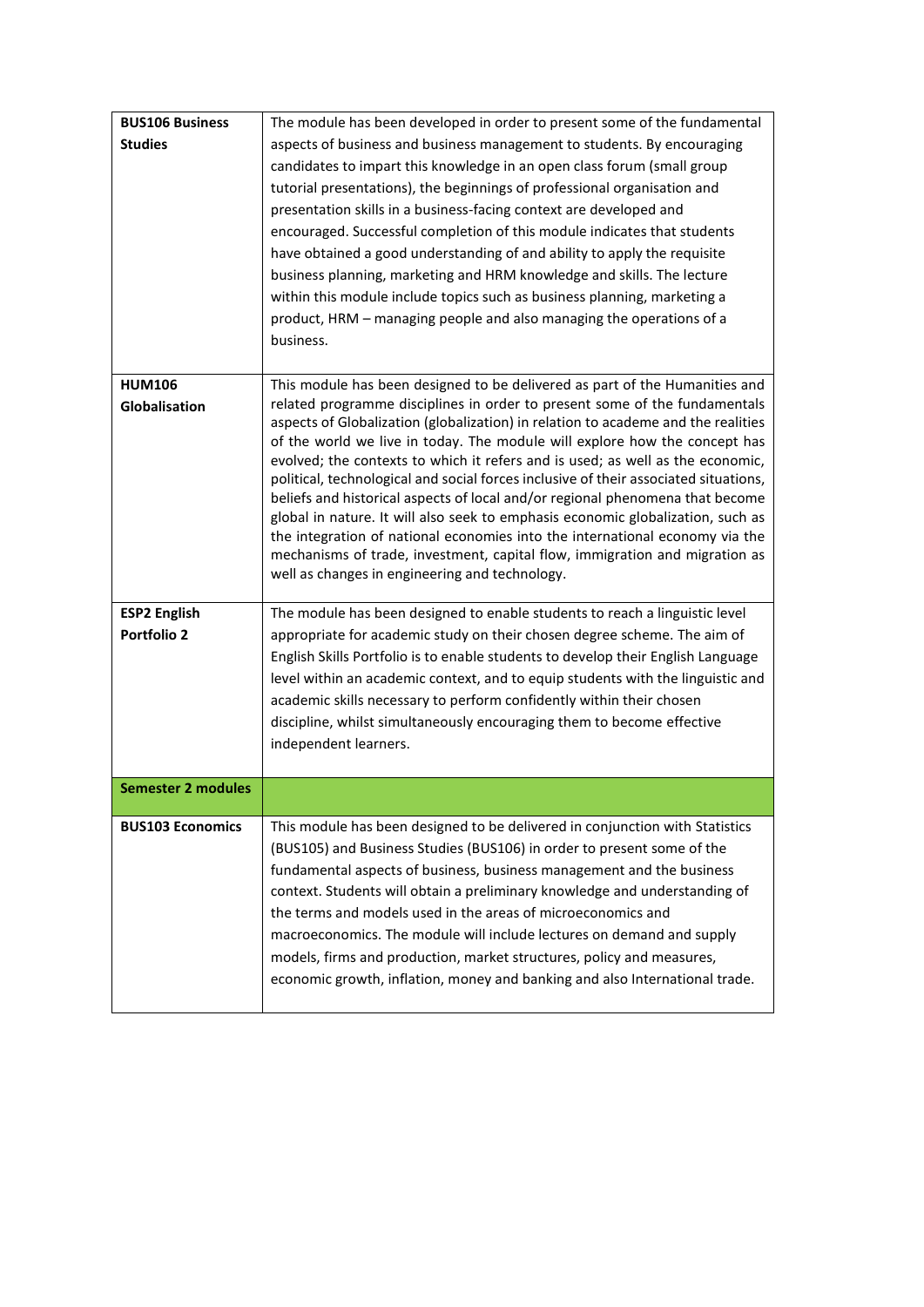| <b>BUS106 Business</b>    | The module has been developed in order to present some of the fundamental                                                                                             |
|---------------------------|-----------------------------------------------------------------------------------------------------------------------------------------------------------------------|
| <b>Studies</b>            | aspects of business and business management to students. By encouraging                                                                                               |
|                           | candidates to impart this knowledge in an open class forum (small group                                                                                               |
|                           | tutorial presentations), the beginnings of professional organisation and                                                                                              |
|                           | presentation skills in a business-facing context are developed and                                                                                                    |
|                           | encouraged. Successful completion of this module indicates that students                                                                                              |
|                           | have obtained a good understanding of and ability to apply the requisite                                                                                              |
|                           | business planning, marketing and HRM knowledge and skills. The lecture                                                                                                |
|                           | within this module include topics such as business planning, marketing a                                                                                              |
|                           | product, HRM - managing people and also managing the operations of a                                                                                                  |
|                           | business.                                                                                                                                                             |
|                           |                                                                                                                                                                       |
| <b>HUM106</b>             | This module has been designed to be delivered as part of the Humanities and                                                                                           |
| Globalisation             | related programme disciplines in order to present some of the fundamentals                                                                                            |
|                           | aspects of Globalization (globalization) in relation to academe and the realities                                                                                     |
|                           | of the world we live in today. The module will explore how the concept has                                                                                            |
|                           | evolved; the contexts to which it refers and is used; as well as the economic,                                                                                        |
|                           | political, technological and social forces inclusive of their associated situations,<br>beliefs and historical aspects of local and/or regional phenomena that become |
|                           | global in nature. It will also seek to emphasis economic globalization, such as                                                                                       |
|                           | the integration of national economies into the international economy via the                                                                                          |
|                           | mechanisms of trade, investment, capital flow, immigration and migration as                                                                                           |
|                           | well as changes in engineering and technology.                                                                                                                        |
|                           |                                                                                                                                                                       |
| <b>ESP2 English</b>       | The module has been designed to enable students to reach a linguistic level                                                                                           |
| <b>Portfolio 2</b>        | appropriate for academic study on their chosen degree scheme. The aim of                                                                                              |
|                           | English Skills Portfolio is to enable students to develop their English Language                                                                                      |
|                           | level within an academic context, and to equip students with the linguistic and                                                                                       |
|                           | academic skills necessary to perform confidently within their chosen                                                                                                  |
|                           | discipline, whilst simultaneously encouraging them to become effective                                                                                                |
|                           | independent learners.                                                                                                                                                 |
|                           |                                                                                                                                                                       |
| <b>Semester 2 modules</b> |                                                                                                                                                                       |
|                           |                                                                                                                                                                       |
| <b>BUS103 Economics</b>   | This module has been designed to be delivered in conjunction with Statistics                                                                                          |
|                           | (BUS105) and Business Studies (BUS106) in order to present some of the                                                                                                |
|                           | fundamental aspects of business, business management and the business                                                                                                 |
|                           | context. Students will obtain a preliminary knowledge and understanding of                                                                                            |
|                           | the terms and models used in the areas of microeconomics and                                                                                                          |
|                           | macroeconomics. The module will include lectures on demand and supply                                                                                                 |
|                           | models, firms and production, market structures, policy and measures,                                                                                                 |
|                           | economic growth, inflation, money and banking and also International trade.                                                                                           |
|                           |                                                                                                                                                                       |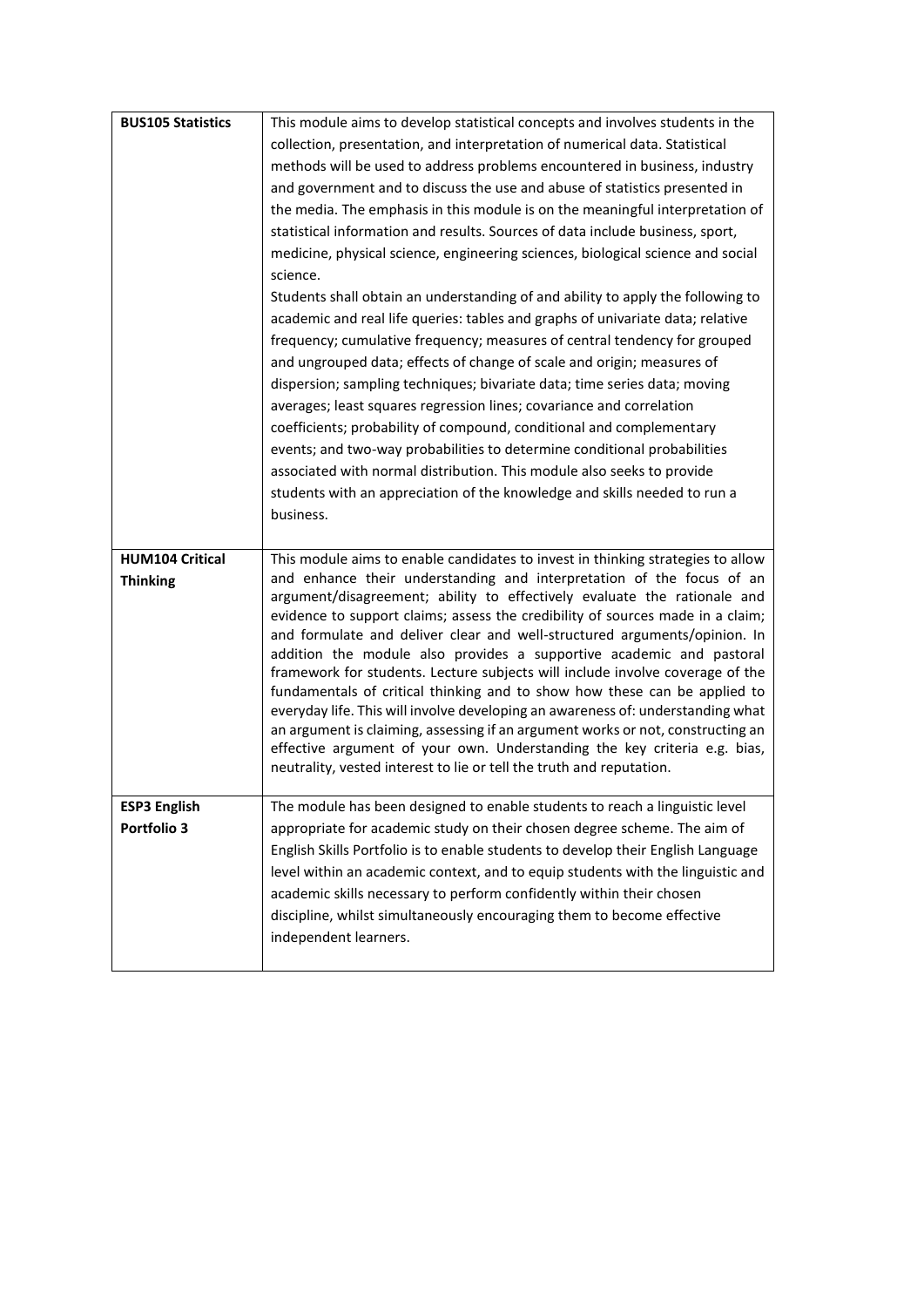| <b>BUS105 Statistics</b>                  | This module aims to develop statistical concepts and involves students in the                                                                                                                                                                                                                                                                                                                                                                                                                                                                                                                                                                                                                                                                                                                                                                                                                                                                                        |
|-------------------------------------------|----------------------------------------------------------------------------------------------------------------------------------------------------------------------------------------------------------------------------------------------------------------------------------------------------------------------------------------------------------------------------------------------------------------------------------------------------------------------------------------------------------------------------------------------------------------------------------------------------------------------------------------------------------------------------------------------------------------------------------------------------------------------------------------------------------------------------------------------------------------------------------------------------------------------------------------------------------------------|
|                                           | collection, presentation, and interpretation of numerical data. Statistical                                                                                                                                                                                                                                                                                                                                                                                                                                                                                                                                                                                                                                                                                                                                                                                                                                                                                          |
|                                           | methods will be used to address problems encountered in business, industry                                                                                                                                                                                                                                                                                                                                                                                                                                                                                                                                                                                                                                                                                                                                                                                                                                                                                           |
|                                           | and government and to discuss the use and abuse of statistics presented in                                                                                                                                                                                                                                                                                                                                                                                                                                                                                                                                                                                                                                                                                                                                                                                                                                                                                           |
|                                           | the media. The emphasis in this module is on the meaningful interpretation of                                                                                                                                                                                                                                                                                                                                                                                                                                                                                                                                                                                                                                                                                                                                                                                                                                                                                        |
|                                           | statistical information and results. Sources of data include business, sport,                                                                                                                                                                                                                                                                                                                                                                                                                                                                                                                                                                                                                                                                                                                                                                                                                                                                                        |
|                                           | medicine, physical science, engineering sciences, biological science and social                                                                                                                                                                                                                                                                                                                                                                                                                                                                                                                                                                                                                                                                                                                                                                                                                                                                                      |
|                                           | science.                                                                                                                                                                                                                                                                                                                                                                                                                                                                                                                                                                                                                                                                                                                                                                                                                                                                                                                                                             |
|                                           | Students shall obtain an understanding of and ability to apply the following to<br>academic and real life queries: tables and graphs of univariate data; relative                                                                                                                                                                                                                                                                                                                                                                                                                                                                                                                                                                                                                                                                                                                                                                                                    |
|                                           | frequency; cumulative frequency; measures of central tendency for grouped                                                                                                                                                                                                                                                                                                                                                                                                                                                                                                                                                                                                                                                                                                                                                                                                                                                                                            |
|                                           | and ungrouped data; effects of change of scale and origin; measures of                                                                                                                                                                                                                                                                                                                                                                                                                                                                                                                                                                                                                                                                                                                                                                                                                                                                                               |
|                                           | dispersion; sampling techniques; bivariate data; time series data; moving                                                                                                                                                                                                                                                                                                                                                                                                                                                                                                                                                                                                                                                                                                                                                                                                                                                                                            |
|                                           | averages; least squares regression lines; covariance and correlation                                                                                                                                                                                                                                                                                                                                                                                                                                                                                                                                                                                                                                                                                                                                                                                                                                                                                                 |
|                                           | coefficients; probability of compound, conditional and complementary                                                                                                                                                                                                                                                                                                                                                                                                                                                                                                                                                                                                                                                                                                                                                                                                                                                                                                 |
|                                           | events; and two-way probabilities to determine conditional probabilities                                                                                                                                                                                                                                                                                                                                                                                                                                                                                                                                                                                                                                                                                                                                                                                                                                                                                             |
|                                           | associated with normal distribution. This module also seeks to provide                                                                                                                                                                                                                                                                                                                                                                                                                                                                                                                                                                                                                                                                                                                                                                                                                                                                                               |
|                                           | students with an appreciation of the knowledge and skills needed to run a                                                                                                                                                                                                                                                                                                                                                                                                                                                                                                                                                                                                                                                                                                                                                                                                                                                                                            |
|                                           | business.                                                                                                                                                                                                                                                                                                                                                                                                                                                                                                                                                                                                                                                                                                                                                                                                                                                                                                                                                            |
|                                           |                                                                                                                                                                                                                                                                                                                                                                                                                                                                                                                                                                                                                                                                                                                                                                                                                                                                                                                                                                      |
|                                           |                                                                                                                                                                                                                                                                                                                                                                                                                                                                                                                                                                                                                                                                                                                                                                                                                                                                                                                                                                      |
|                                           |                                                                                                                                                                                                                                                                                                                                                                                                                                                                                                                                                                                                                                                                                                                                                                                                                                                                                                                                                                      |
| <b>HUM104 Critical</b><br><b>Thinking</b> | This module aims to enable candidates to invest in thinking strategies to allow<br>and enhance their understanding and interpretation of the focus of an<br>argument/disagreement; ability to effectively evaluate the rationale and<br>evidence to support claims; assess the credibility of sources made in a claim;<br>and formulate and deliver clear and well-structured arguments/opinion. In<br>addition the module also provides a supportive academic and pastoral<br>framework for students. Lecture subjects will include involve coverage of the<br>fundamentals of critical thinking and to show how these can be applied to<br>everyday life. This will involve developing an awareness of: understanding what<br>an argument is claiming, assessing if an argument works or not, constructing an<br>effective argument of your own. Understanding the key criteria e.g. bias,<br>neutrality, vested interest to lie or tell the truth and reputation. |
| <b>ESP3 English</b>                       | The module has been designed to enable students to reach a linguistic level                                                                                                                                                                                                                                                                                                                                                                                                                                                                                                                                                                                                                                                                                                                                                                                                                                                                                          |
| Portfolio 3                               | appropriate for academic study on their chosen degree scheme. The aim of                                                                                                                                                                                                                                                                                                                                                                                                                                                                                                                                                                                                                                                                                                                                                                                                                                                                                             |
|                                           | English Skills Portfolio is to enable students to develop their English Language                                                                                                                                                                                                                                                                                                                                                                                                                                                                                                                                                                                                                                                                                                                                                                                                                                                                                     |
|                                           | level within an academic context, and to equip students with the linguistic and                                                                                                                                                                                                                                                                                                                                                                                                                                                                                                                                                                                                                                                                                                                                                                                                                                                                                      |
|                                           | academic skills necessary to perform confidently within their chosen                                                                                                                                                                                                                                                                                                                                                                                                                                                                                                                                                                                                                                                                                                                                                                                                                                                                                                 |
|                                           | discipline, whilst simultaneously encouraging them to become effective                                                                                                                                                                                                                                                                                                                                                                                                                                                                                                                                                                                                                                                                                                                                                                                                                                                                                               |
|                                           | independent learners.                                                                                                                                                                                                                                                                                                                                                                                                                                                                                                                                                                                                                                                                                                                                                                                                                                                                                                                                                |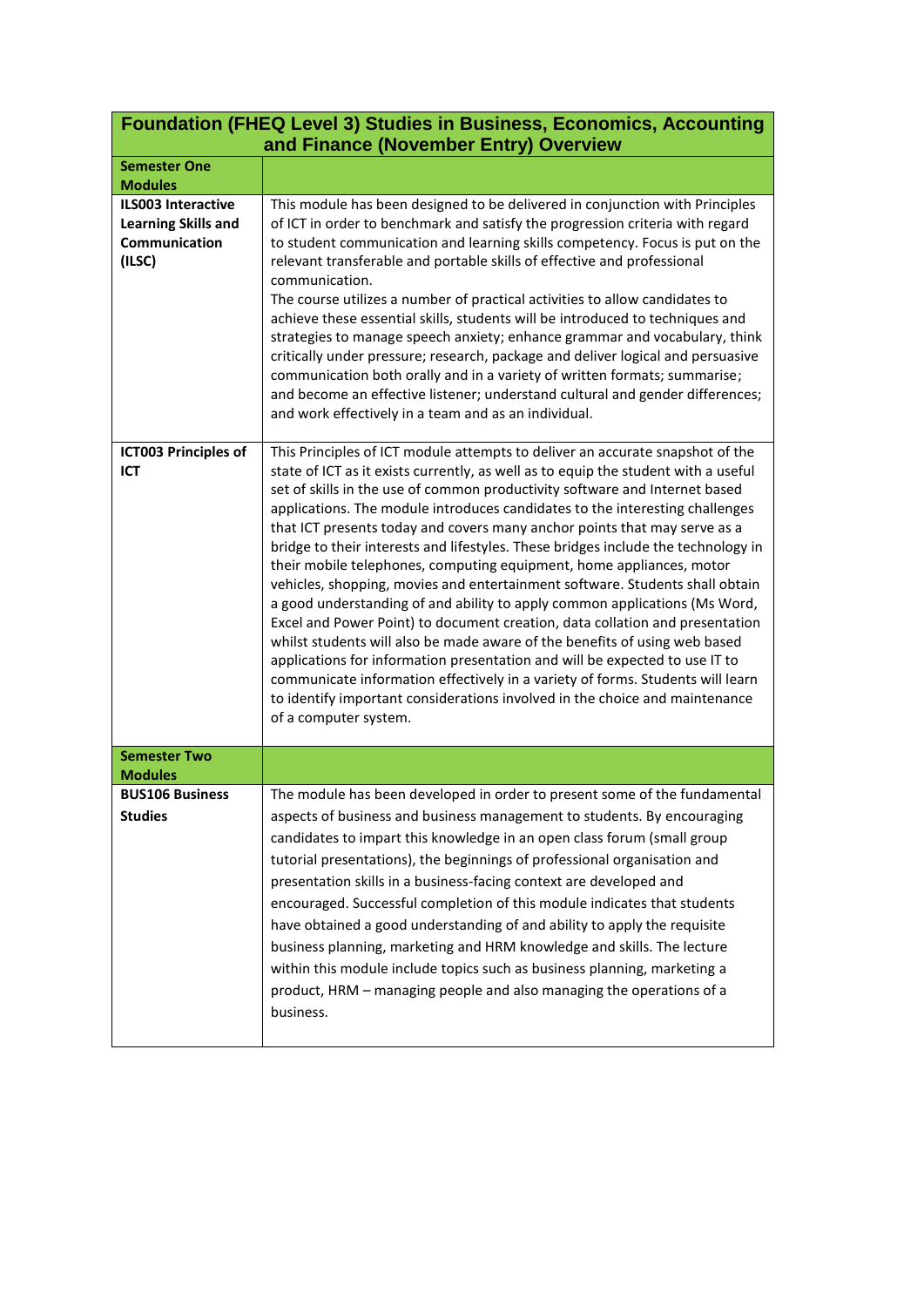| <b>Foundation (FHEQ Level 3) Studies in Business, Economics, Accounting</b><br>and Finance (November Entry) Overview |                                                                                                                                                                                                                                                                                                                                                                                                                                                                                                                                                                                                                                                                                                                                                                                                                                                                                                                                                                                                                                                                                                                                                                                   |
|----------------------------------------------------------------------------------------------------------------------|-----------------------------------------------------------------------------------------------------------------------------------------------------------------------------------------------------------------------------------------------------------------------------------------------------------------------------------------------------------------------------------------------------------------------------------------------------------------------------------------------------------------------------------------------------------------------------------------------------------------------------------------------------------------------------------------------------------------------------------------------------------------------------------------------------------------------------------------------------------------------------------------------------------------------------------------------------------------------------------------------------------------------------------------------------------------------------------------------------------------------------------------------------------------------------------|
| <b>Semester One</b><br><b>Modules</b>                                                                                |                                                                                                                                                                                                                                                                                                                                                                                                                                                                                                                                                                                                                                                                                                                                                                                                                                                                                                                                                                                                                                                                                                                                                                                   |
| <b>ILS003 Interactive</b><br><b>Learning Skills and</b><br>Communication<br>(ILSC)                                   | This module has been designed to be delivered in conjunction with Principles<br>of ICT in order to benchmark and satisfy the progression criteria with regard<br>to student communication and learning skills competency. Focus is put on the<br>relevant transferable and portable skills of effective and professional<br>communication.<br>The course utilizes a number of practical activities to allow candidates to<br>achieve these essential skills, students will be introduced to techniques and<br>strategies to manage speech anxiety; enhance grammar and vocabulary, think<br>critically under pressure; research, package and deliver logical and persuasive<br>communication both orally and in a variety of written formats; summarise;<br>and become an effective listener; understand cultural and gender differences;<br>and work effectively in a team and as an individual.                                                                                                                                                                                                                                                                                 |
| <b>ICT003 Principles of</b><br>ICT                                                                                   | This Principles of ICT module attempts to deliver an accurate snapshot of the<br>state of ICT as it exists currently, as well as to equip the student with a useful<br>set of skills in the use of common productivity software and Internet based<br>applications. The module introduces candidates to the interesting challenges<br>that ICT presents today and covers many anchor points that may serve as a<br>bridge to their interests and lifestyles. These bridges include the technology in<br>their mobile telephones, computing equipment, home appliances, motor<br>vehicles, shopping, movies and entertainment software. Students shall obtain<br>a good understanding of and ability to apply common applications (Ms Word,<br>Excel and Power Point) to document creation, data collation and presentation<br>whilst students will also be made aware of the benefits of using web based<br>applications for information presentation and will be expected to use IT to<br>communicate information effectively in a variety of forms. Students will learn<br>to identify important considerations involved in the choice and maintenance<br>of a computer system. |
| <b>Semester Two</b><br><b>Modules</b>                                                                                |                                                                                                                                                                                                                                                                                                                                                                                                                                                                                                                                                                                                                                                                                                                                                                                                                                                                                                                                                                                                                                                                                                                                                                                   |
| <b>BUS106 Business</b><br><b>Studies</b>                                                                             | The module has been developed in order to present some of the fundamental<br>aspects of business and business management to students. By encouraging<br>candidates to impart this knowledge in an open class forum (small group<br>tutorial presentations), the beginnings of professional organisation and<br>presentation skills in a business-facing context are developed and<br>encouraged. Successful completion of this module indicates that students<br>have obtained a good understanding of and ability to apply the requisite<br>business planning, marketing and HRM knowledge and skills. The lecture<br>within this module include topics such as business planning, marketing a<br>product, HRM - managing people and also managing the operations of a<br>business.                                                                                                                                                                                                                                                                                                                                                                                              |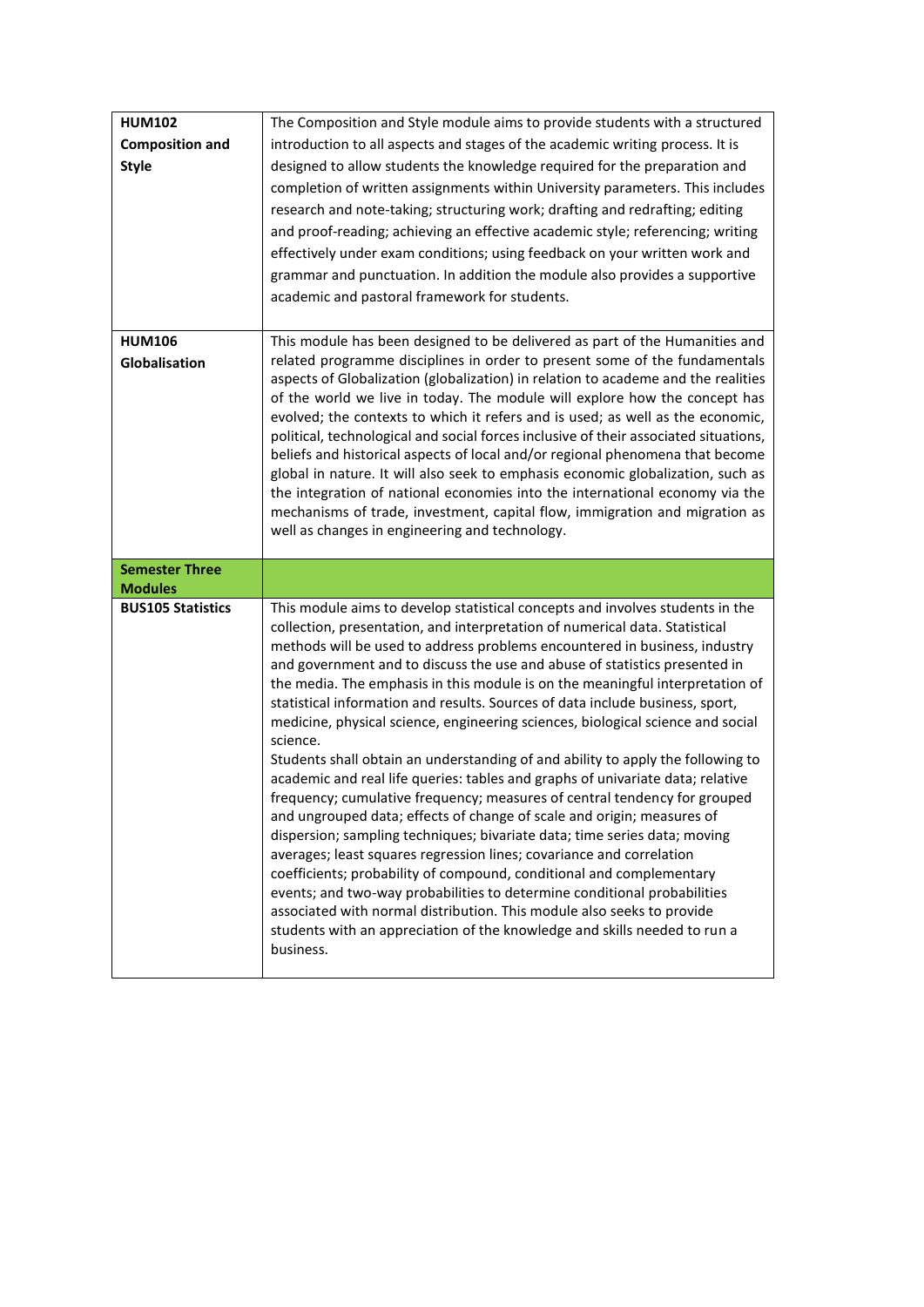| <b>HUM102</b>            | The Composition and Style module aims to provide students with a structured                                                                                           |
|--------------------------|-----------------------------------------------------------------------------------------------------------------------------------------------------------------------|
| <b>Composition and</b>   | introduction to all aspects and stages of the academic writing process. It is                                                                                         |
| <b>Style</b>             | designed to allow students the knowledge required for the preparation and                                                                                             |
|                          | completion of written assignments within University parameters. This includes                                                                                         |
|                          | research and note-taking; structuring work; drafting and redrafting; editing                                                                                          |
|                          | and proof-reading; achieving an effective academic style; referencing; writing                                                                                        |
|                          | effectively under exam conditions; using feedback on your written work and                                                                                            |
|                          | grammar and punctuation. In addition the module also provides a supportive                                                                                            |
|                          | academic and pastoral framework for students.                                                                                                                         |
|                          |                                                                                                                                                                       |
| <b>HUM106</b>            | This module has been designed to be delivered as part of the Humanities and                                                                                           |
| Globalisation            | related programme disciplines in order to present some of the fundamentals                                                                                            |
|                          | aspects of Globalization (globalization) in relation to academe and the realities                                                                                     |
|                          | of the world we live in today. The module will explore how the concept has                                                                                            |
|                          | evolved; the contexts to which it refers and is used; as well as the economic,                                                                                        |
|                          | political, technological and social forces inclusive of their associated situations,<br>beliefs and historical aspects of local and/or regional phenomena that become |
|                          | global in nature. It will also seek to emphasis economic globalization, such as                                                                                       |
|                          | the integration of national economies into the international economy via the                                                                                          |
|                          | mechanisms of trade, investment, capital flow, immigration and migration as                                                                                           |
|                          | well as changes in engineering and technology.                                                                                                                        |
|                          |                                                                                                                                                                       |
|                          |                                                                                                                                                                       |
| <b>Semester Three</b>    |                                                                                                                                                                       |
| <b>Modules</b>           |                                                                                                                                                                       |
| <b>BUS105 Statistics</b> | This module aims to develop statistical concepts and involves students in the                                                                                         |
|                          | collection, presentation, and interpretation of numerical data. Statistical                                                                                           |
|                          | methods will be used to address problems encountered in business, industry<br>and government and to discuss the use and abuse of statistics presented in              |
|                          | the media. The emphasis in this module is on the meaningful interpretation of                                                                                         |
|                          | statistical information and results. Sources of data include business, sport,                                                                                         |
|                          | medicine, physical science, engineering sciences, biological science and social                                                                                       |
|                          | science.                                                                                                                                                              |
|                          | Students shall obtain an understanding of and ability to apply the following to                                                                                       |
|                          | academic and real life queries: tables and graphs of univariate data; relative                                                                                        |
|                          | frequency; cumulative frequency; measures of central tendency for grouped<br>and ungrouped data; effects of change of scale and origin; measures of                   |
|                          | dispersion; sampling techniques; bivariate data; time series data; moving                                                                                             |
|                          | averages; least squares regression lines; covariance and correlation                                                                                                  |
|                          | coefficients; probability of compound, conditional and complementary                                                                                                  |
|                          | events; and two-way probabilities to determine conditional probabilities                                                                                              |
|                          | associated with normal distribution. This module also seeks to provide                                                                                                |
|                          | students with an appreciation of the knowledge and skills needed to run a<br>business.                                                                                |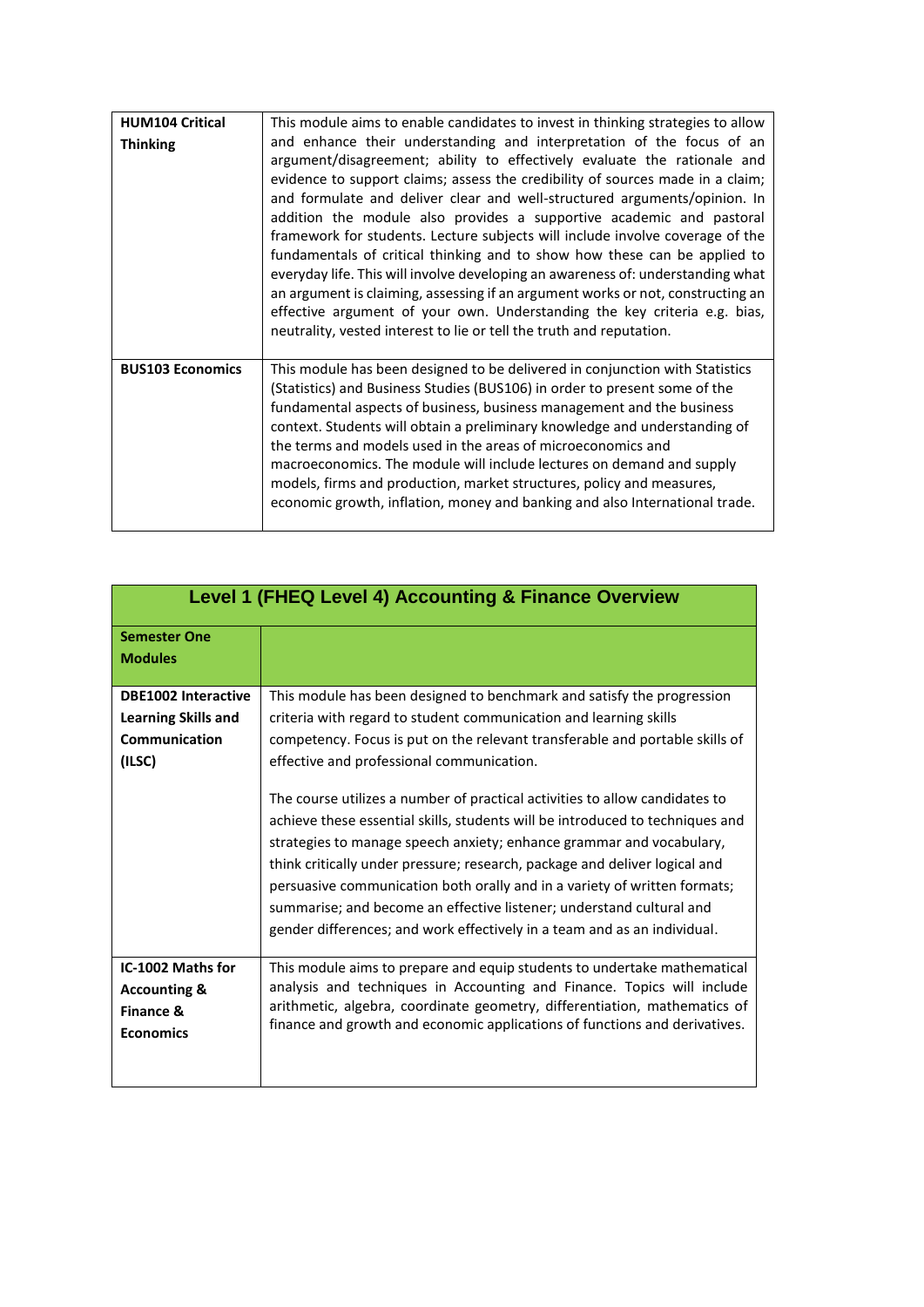| <b>HUM104 Critical</b><br><b>Thinking</b> | This module aims to enable candidates to invest in thinking strategies to allow<br>and enhance their understanding and interpretation of the focus of an<br>argument/disagreement; ability to effectively evaluate the rationale and<br>evidence to support claims; assess the credibility of sources made in a claim;<br>and formulate and deliver clear and well-structured arguments/opinion. In<br>addition the module also provides a supportive academic and pastoral<br>framework for students. Lecture subjects will include involve coverage of the<br>fundamentals of critical thinking and to show how these can be applied to<br>everyday life. This will involve developing an awareness of: understanding what<br>an argument is claiming, assessing if an argument works or not, constructing an<br>effective argument of your own. Understanding the key criteria e.g. bias,<br>neutrality, vested interest to lie or tell the truth and reputation. |
|-------------------------------------------|----------------------------------------------------------------------------------------------------------------------------------------------------------------------------------------------------------------------------------------------------------------------------------------------------------------------------------------------------------------------------------------------------------------------------------------------------------------------------------------------------------------------------------------------------------------------------------------------------------------------------------------------------------------------------------------------------------------------------------------------------------------------------------------------------------------------------------------------------------------------------------------------------------------------------------------------------------------------|
| <b>BUS103 Economics</b>                   | This module has been designed to be delivered in conjunction with Statistics<br>(Statistics) and Business Studies (BUS106) in order to present some of the<br>fundamental aspects of business, business management and the business<br>context. Students will obtain a preliminary knowledge and understanding of<br>the terms and models used in the areas of microeconomics and<br>macroeconomics. The module will include lectures on demand and supply<br>models, firms and production, market structures, policy and measures,<br>economic growth, inflation, money and banking and also International trade.                                                                                                                                                                                                                                                                                                                                                   |

| <b>Level 1 (FHEQ Level 4) Accounting &amp; Finance Overview</b>               |                                                                                                                                                                                                                                                                                                                                                                                                                                                                                                                                                     |
|-------------------------------------------------------------------------------|-----------------------------------------------------------------------------------------------------------------------------------------------------------------------------------------------------------------------------------------------------------------------------------------------------------------------------------------------------------------------------------------------------------------------------------------------------------------------------------------------------------------------------------------------------|
| <b>Semester One</b>                                                           |                                                                                                                                                                                                                                                                                                                                                                                                                                                                                                                                                     |
| <b>Modules</b>                                                                |                                                                                                                                                                                                                                                                                                                                                                                                                                                                                                                                                     |
| <b>DBE1002 Interactive</b>                                                    | This module has been designed to benchmark and satisfy the progression                                                                                                                                                                                                                                                                                                                                                                                                                                                                              |
| <b>Learning Skills and</b>                                                    | criteria with regard to student communication and learning skills                                                                                                                                                                                                                                                                                                                                                                                                                                                                                   |
| Communication                                                                 | competency. Focus is put on the relevant transferable and portable skills of                                                                                                                                                                                                                                                                                                                                                                                                                                                                        |
| (ILSC)                                                                        | effective and professional communication.                                                                                                                                                                                                                                                                                                                                                                                                                                                                                                           |
|                                                                               | The course utilizes a number of practical activities to allow candidates to<br>achieve these essential skills, students will be introduced to techniques and<br>strategies to manage speech anxiety; enhance grammar and vocabulary,<br>think critically under pressure; research, package and deliver logical and<br>persuasive communication both orally and in a variety of written formats;<br>summarise; and become an effective listener; understand cultural and<br>gender differences; and work effectively in a team and as an individual. |
| IC-1002 Maths for<br><b>Accounting &amp;</b><br>Finance &<br><b>Economics</b> | This module aims to prepare and equip students to undertake mathematical<br>analysis and techniques in Accounting and Finance. Topics will include<br>arithmetic, algebra, coordinate geometry, differentiation, mathematics of<br>finance and growth and economic applications of functions and derivatives.                                                                                                                                                                                                                                       |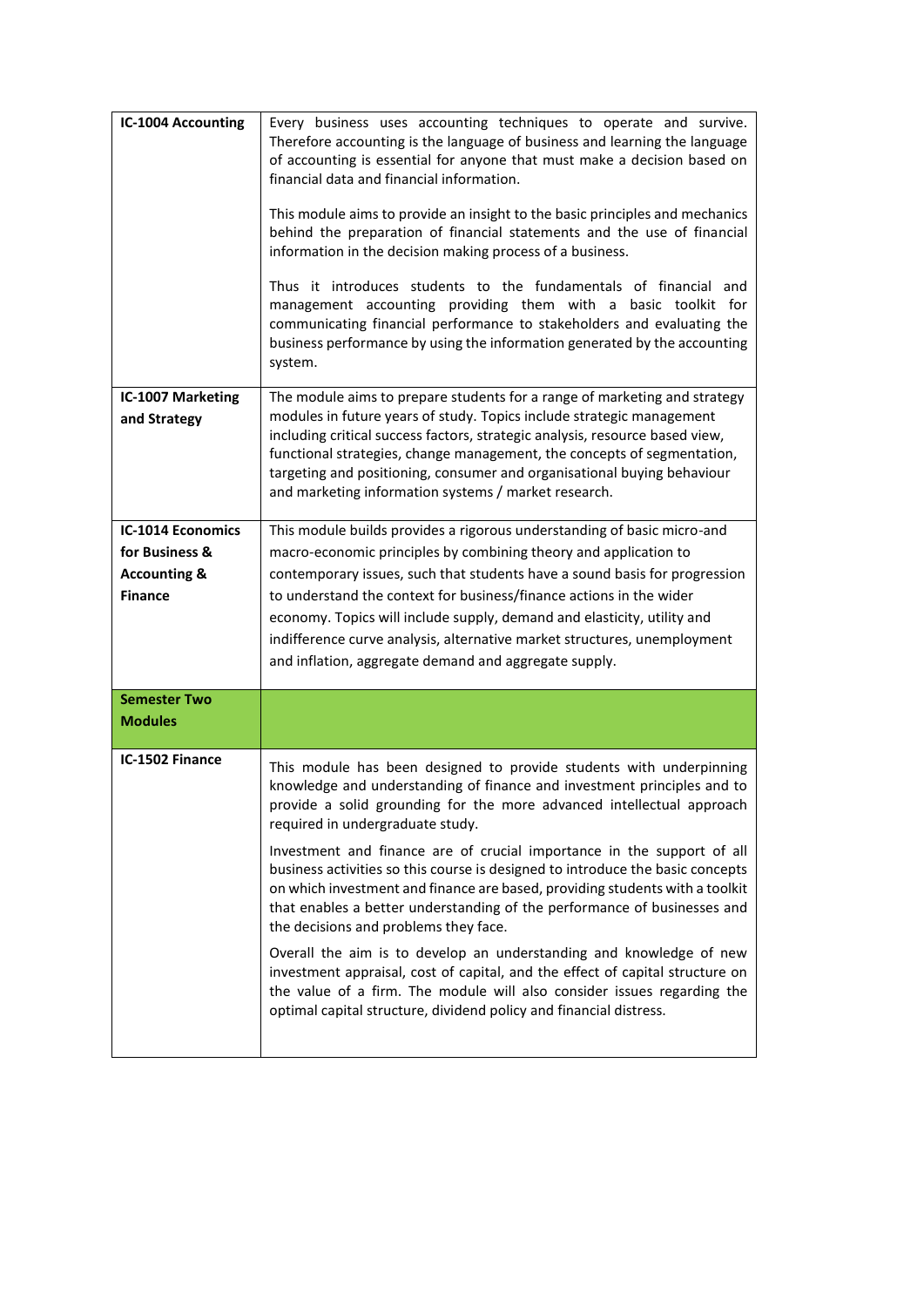| IC-1004 Accounting                                                                      | Every business uses accounting techniques to operate and survive.<br>Therefore accounting is the language of business and learning the language<br>of accounting is essential for anyone that must make a decision based on<br>financial data and financial information.<br>This module aims to provide an insight to the basic principles and mechanics<br>behind the preparation of financial statements and the use of financial<br>information in the decision making process of a business.<br>Thus it introduces students to the fundamentals of financial and<br>management accounting providing them with a basic toolkit for<br>communicating financial performance to stakeholders and evaluating the<br>business performance by using the information generated by the accounting<br>system.                                                                                                                               |
|-----------------------------------------------------------------------------------------|---------------------------------------------------------------------------------------------------------------------------------------------------------------------------------------------------------------------------------------------------------------------------------------------------------------------------------------------------------------------------------------------------------------------------------------------------------------------------------------------------------------------------------------------------------------------------------------------------------------------------------------------------------------------------------------------------------------------------------------------------------------------------------------------------------------------------------------------------------------------------------------------------------------------------------------|
| IC-1007 Marketing<br>and Strategy                                                       | The module aims to prepare students for a range of marketing and strategy<br>modules in future years of study. Topics include strategic management<br>including critical success factors, strategic analysis, resource based view,<br>functional strategies, change management, the concepts of segmentation,<br>targeting and positioning, consumer and organisational buying behaviour<br>and marketing information systems / market research.                                                                                                                                                                                                                                                                                                                                                                                                                                                                                      |
| <b>IC-1014 Economics</b><br>for Business &<br><b>Accounting &amp;</b><br><b>Finance</b> | This module builds provides a rigorous understanding of basic micro-and<br>macro-economic principles by combining theory and application to<br>contemporary issues, such that students have a sound basis for progression<br>to understand the context for business/finance actions in the wider<br>economy. Topics will include supply, demand and elasticity, utility and<br>indifference curve analysis, alternative market structures, unemployment<br>and inflation, aggregate demand and aggregate supply.                                                                                                                                                                                                                                                                                                                                                                                                                      |
| <b>Semester Two</b><br><b>Modules</b>                                                   |                                                                                                                                                                                                                                                                                                                                                                                                                                                                                                                                                                                                                                                                                                                                                                                                                                                                                                                                       |
| IC-1502 Finance                                                                         | This module has been designed to provide students with underpinning<br>knowledge and understanding of finance and investment principles and to<br>provide a solid grounding for the more advanced intellectual approach<br>required in undergraduate study.<br>Investment and finance are of crucial importance in the support of all<br>business activities so this course is designed to introduce the basic concepts<br>on which investment and finance are based, providing students with a toolkit<br>that enables a better understanding of the performance of businesses and<br>the decisions and problems they face.<br>Overall the aim is to develop an understanding and knowledge of new<br>investment appraisal, cost of capital, and the effect of capital structure on<br>the value of a firm. The module will also consider issues regarding the<br>optimal capital structure, dividend policy and financial distress. |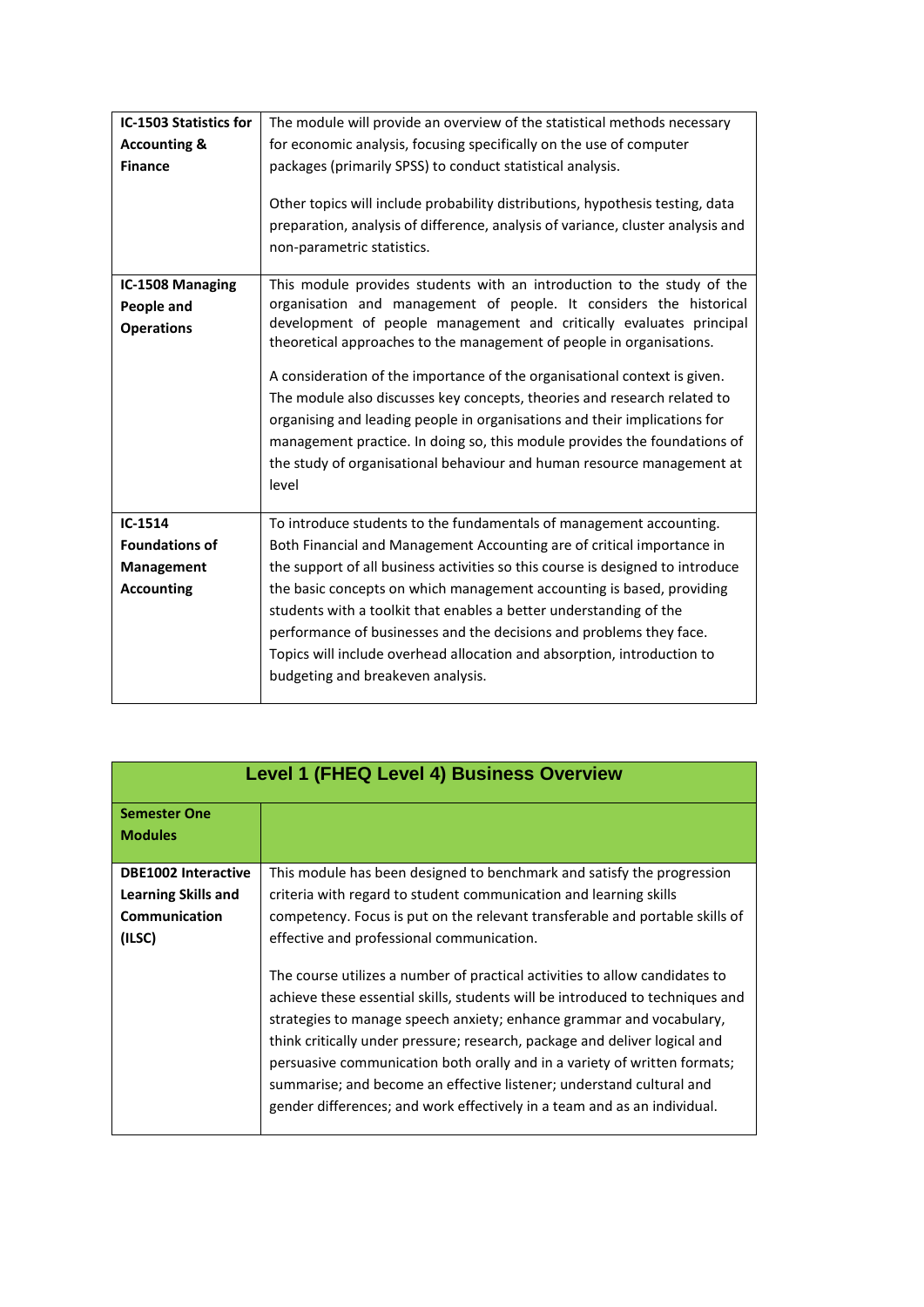| IC-1503 Statistics for  | The module will provide an overview of the statistical methods necessary        |
|-------------------------|---------------------------------------------------------------------------------|
|                         |                                                                                 |
| <b>Accounting &amp;</b> | for economic analysis, focusing specifically on the use of computer             |
| <b>Finance</b>          | packages (primarily SPSS) to conduct statistical analysis.                      |
|                         |                                                                                 |
|                         | Other topics will include probability distributions, hypothesis testing, data   |
|                         | preparation, analysis of difference, analysis of variance, cluster analysis and |
|                         | non-parametric statistics.                                                      |
|                         |                                                                                 |
| IC-1508 Managing        | This module provides students with an introduction to the study of the          |
| People and              | organisation and management of people. It considers the historical              |
| <b>Operations</b>       | development of people management and critically evaluates principal             |
|                         | theoretical approaches to the management of people in organisations.            |
|                         |                                                                                 |
|                         | A consideration of the importance of the organisational context is given.       |
|                         | The module also discusses key concepts, theories and research related to        |
|                         | organising and leading people in organisations and their implications for       |
|                         | management practice. In doing so, this module provides the foundations of       |
|                         | the study of organisational behaviour and human resource management at          |
|                         | level                                                                           |
|                         |                                                                                 |
| $IC-1514$               | To introduce students to the fundamentals of management accounting.             |
| <b>Foundations of</b>   | Both Financial and Management Accounting are of critical importance in          |
| Management              | the support of all business activities so this course is designed to introduce  |
|                         |                                                                                 |
| <b>Accounting</b>       | the basic concepts on which management accounting is based, providing           |
|                         | students with a toolkit that enables a better understanding of the              |
|                         | performance of businesses and the decisions and problems they face.             |
|                         | Topics will include overhead allocation and absorption, introduction to         |
|                         | budgeting and breakeven analysis.                                               |
|                         |                                                                                 |

| <b>Level 1 (FHEQ Level 4) Business Overview</b> |                                                                               |
|-------------------------------------------------|-------------------------------------------------------------------------------|
|                                                 |                                                                               |
| <b>Semester One</b>                             |                                                                               |
| <b>Modules</b>                                  |                                                                               |
|                                                 |                                                                               |
| <b>DBE1002 Interactive</b>                      | This module has been designed to benchmark and satisfy the progression        |
| Learning Skills and                             | criteria with regard to student communication and learning skills             |
| <b>Communication</b>                            | competency. Focus is put on the relevant transferable and portable skills of  |
| (ILSC)                                          | effective and professional communication.                                     |
|                                                 |                                                                               |
|                                                 | The course utilizes a number of practical activities to allow candidates to   |
|                                                 | achieve these essential skills, students will be introduced to techniques and |
|                                                 | strategies to manage speech anxiety; enhance grammar and vocabulary,          |
|                                                 | think critically under pressure; research, package and deliver logical and    |
|                                                 |                                                                               |
|                                                 | persuasive communication both orally and in a variety of written formats;     |
|                                                 | summarise; and become an effective listener; understand cultural and          |
|                                                 | gender differences; and work effectively in a team and as an individual.      |
|                                                 |                                                                               |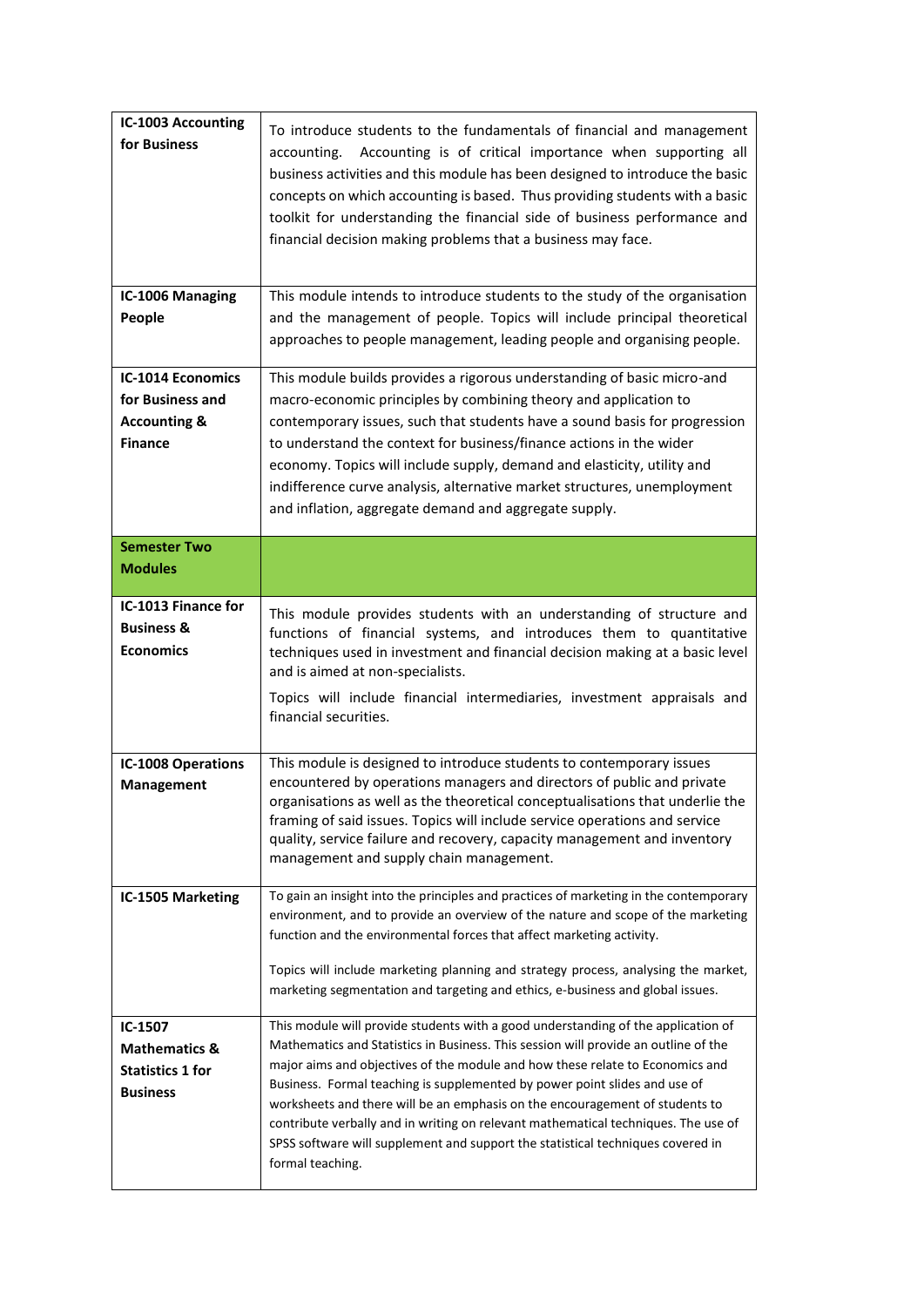| <b>IC-1003 Accounting</b><br>for Business                                                 | To introduce students to the fundamentals of financial and management<br>Accounting is of critical importance when supporting all<br>accounting.<br>business activities and this module has been designed to introduce the basic<br>concepts on which accounting is based. Thus providing students with a basic<br>toolkit for understanding the financial side of business performance and<br>financial decision making problems that a business may face.                                                                                                                                                          |
|-------------------------------------------------------------------------------------------|----------------------------------------------------------------------------------------------------------------------------------------------------------------------------------------------------------------------------------------------------------------------------------------------------------------------------------------------------------------------------------------------------------------------------------------------------------------------------------------------------------------------------------------------------------------------------------------------------------------------|
| IC-1006 Managing<br>People                                                                | This module intends to introduce students to the study of the organisation<br>and the management of people. Topics will include principal theoretical<br>approaches to people management, leading people and organising people.                                                                                                                                                                                                                                                                                                                                                                                      |
| <b>IC-1014 Economics</b><br>for Business and<br><b>Accounting &amp;</b><br><b>Finance</b> | This module builds provides a rigorous understanding of basic micro-and<br>macro-economic principles by combining theory and application to<br>contemporary issues, such that students have a sound basis for progression<br>to understand the context for business/finance actions in the wider<br>economy. Topics will include supply, demand and elasticity, utility and<br>indifference curve analysis, alternative market structures, unemployment<br>and inflation, aggregate demand and aggregate supply.                                                                                                     |
| <b>Semester Two</b><br><b>Modules</b>                                                     |                                                                                                                                                                                                                                                                                                                                                                                                                                                                                                                                                                                                                      |
| IC-1013 Finance for<br><b>Business &amp;</b><br><b>Economics</b>                          | This module provides students with an understanding of structure and<br>functions of financial systems, and introduces them to quantitative<br>techniques used in investment and financial decision making at a basic level<br>and is aimed at non-specialists.<br>Topics will include financial intermediaries, investment appraisals and<br>financial securities.                                                                                                                                                                                                                                                  |
| <b>IC-1008 Operations</b><br>Management                                                   | This module is designed to introduce students to contemporary issues<br>encountered by operations managers and directors of public and private<br>organisations as well as the theoretical conceptualisations that underlie the<br>framing of said issues. Topics will include service operations and service<br>quality, service failure and recovery, capacity management and inventory<br>management and supply chain management.                                                                                                                                                                                 |
| IC-1505 Marketing                                                                         | To gain an insight into the principles and practices of marketing in the contemporary<br>environment, and to provide an overview of the nature and scope of the marketing<br>function and the environmental forces that affect marketing activity.<br>Topics will include marketing planning and strategy process, analysing the market,<br>marketing segmentation and targeting and ethics, e-business and global issues.                                                                                                                                                                                           |
| IC-1507<br><b>Mathematics &amp;</b><br><b>Statistics 1 for</b><br><b>Business</b>         | This module will provide students with a good understanding of the application of<br>Mathematics and Statistics in Business. This session will provide an outline of the<br>major aims and objectives of the module and how these relate to Economics and<br>Business. Formal teaching is supplemented by power point slides and use of<br>worksheets and there will be an emphasis on the encouragement of students to<br>contribute verbally and in writing on relevant mathematical techniques. The use of<br>SPSS software will supplement and support the statistical techniques covered in<br>formal teaching. |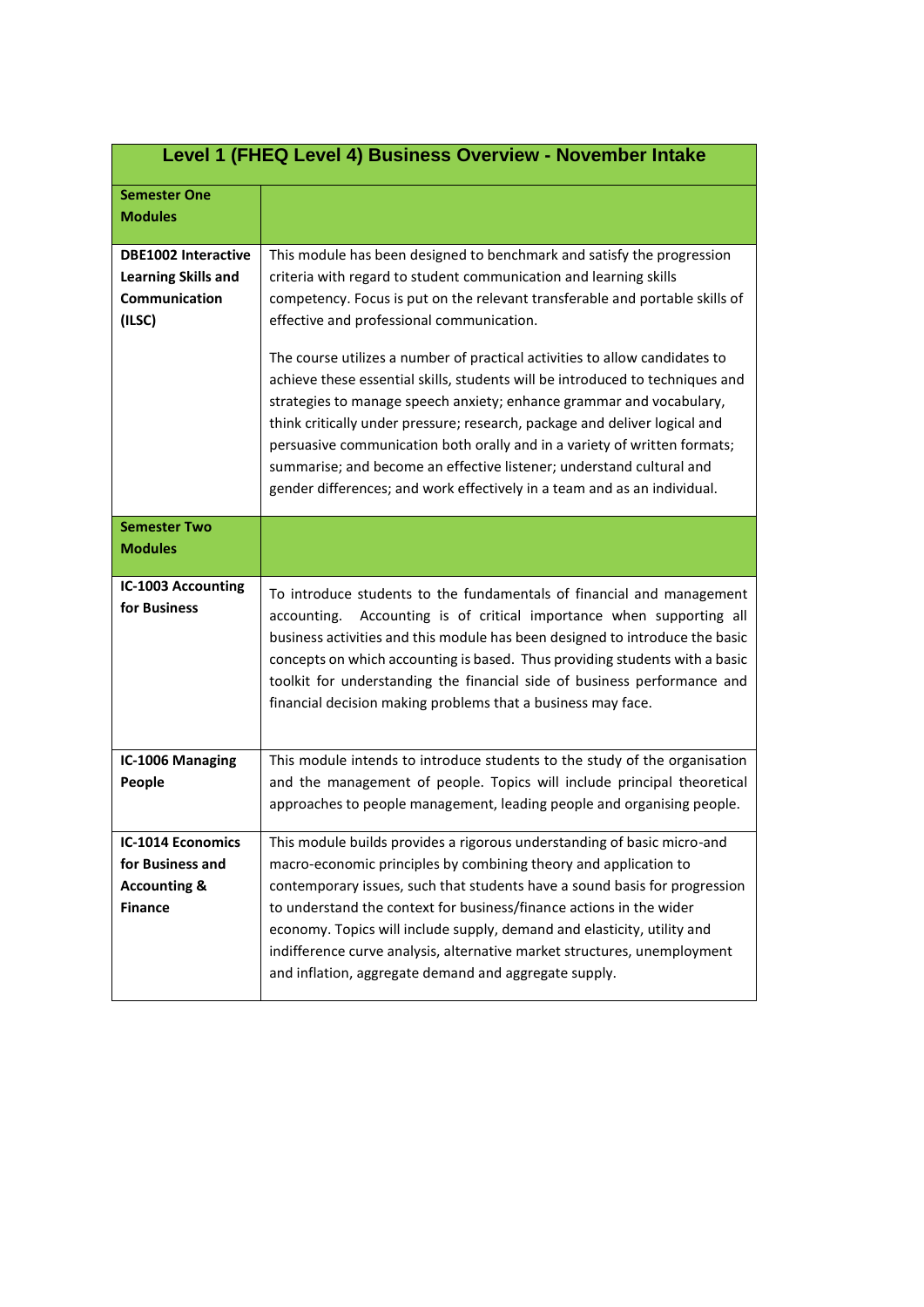| Level 1 (FHEQ Level 4) Business Overview - November Intake                                 |                                                                                                                                                                                                                                                                                                                                                                                                                                                                                                                                                                                                                                                                                                                                                                                                                                 |
|--------------------------------------------------------------------------------------------|---------------------------------------------------------------------------------------------------------------------------------------------------------------------------------------------------------------------------------------------------------------------------------------------------------------------------------------------------------------------------------------------------------------------------------------------------------------------------------------------------------------------------------------------------------------------------------------------------------------------------------------------------------------------------------------------------------------------------------------------------------------------------------------------------------------------------------|
| <b>Semester One</b><br><b>Modules</b>                                                      |                                                                                                                                                                                                                                                                                                                                                                                                                                                                                                                                                                                                                                                                                                                                                                                                                                 |
| <b>DBE1002 Interactive</b><br><b>Learning Skills and</b><br><b>Communication</b><br>(ILSC) | This module has been designed to benchmark and satisfy the progression<br>criteria with regard to student communication and learning skills<br>competency. Focus is put on the relevant transferable and portable skills of<br>effective and professional communication.<br>The course utilizes a number of practical activities to allow candidates to<br>achieve these essential skills, students will be introduced to techniques and<br>strategies to manage speech anxiety; enhance grammar and vocabulary,<br>think critically under pressure; research, package and deliver logical and<br>persuasive communication both orally and in a variety of written formats;<br>summarise; and become an effective listener; understand cultural and<br>gender differences; and work effectively in a team and as an individual. |
| <b>Semester Two</b><br><b>Modules</b>                                                      |                                                                                                                                                                                                                                                                                                                                                                                                                                                                                                                                                                                                                                                                                                                                                                                                                                 |
| <b>IC-1003 Accounting</b><br>for Business                                                  | To introduce students to the fundamentals of financial and management<br>Accounting is of critical importance when supporting all<br>accounting.<br>business activities and this module has been designed to introduce the basic<br>concepts on which accounting is based. Thus providing students with a basic<br>toolkit for understanding the financial side of business performance and<br>financial decision making problems that a business may face.                                                                                                                                                                                                                                                                                                                                                                     |
| IC-1006 Managing<br>People                                                                 | This module intends to introduce students to the study of the organisation<br>and the management of people. Topics will include principal theoretical<br>approaches to people management, leading people and organising people.                                                                                                                                                                                                                                                                                                                                                                                                                                                                                                                                                                                                 |
| <b>IC-1014 Economics</b><br>for Business and<br><b>Accounting &amp;</b><br><b>Finance</b>  | This module builds provides a rigorous understanding of basic micro-and<br>macro-economic principles by combining theory and application to<br>contemporary issues, such that students have a sound basis for progression<br>to understand the context for business/finance actions in the wider<br>economy. Topics will include supply, demand and elasticity, utility and<br>indifference curve analysis, alternative market structures, unemployment<br>and inflation, aggregate demand and aggregate supply.                                                                                                                                                                                                                                                                                                                |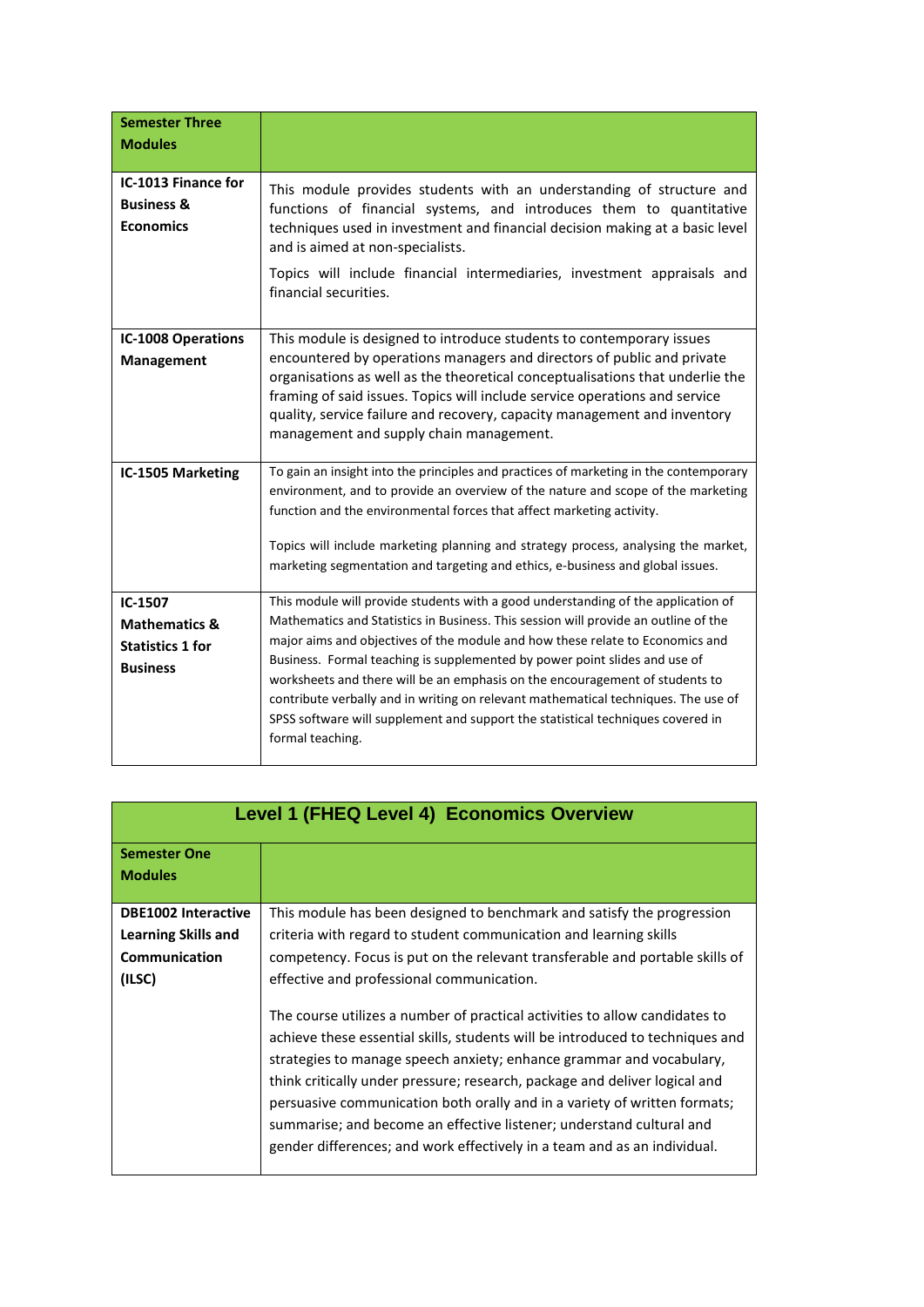| <b>Semester Three</b><br><b>Modules</b>                                           |                                                                                                                                                                                                                                                                                                                                                                                                                                                                                                                                                                                                                      |
|-----------------------------------------------------------------------------------|----------------------------------------------------------------------------------------------------------------------------------------------------------------------------------------------------------------------------------------------------------------------------------------------------------------------------------------------------------------------------------------------------------------------------------------------------------------------------------------------------------------------------------------------------------------------------------------------------------------------|
| IC-1013 Finance for<br><b>Business &amp;</b><br><b>Economics</b>                  | This module provides students with an understanding of structure and<br>functions of financial systems, and introduces them to quantitative<br>techniques used in investment and financial decision making at a basic level<br>and is aimed at non-specialists.<br>Topics will include financial intermediaries, investment appraisals and<br>financial securities.                                                                                                                                                                                                                                                  |
| <b>IC-1008 Operations</b><br>Management                                           | This module is designed to introduce students to contemporary issues<br>encountered by operations managers and directors of public and private<br>organisations as well as the theoretical conceptualisations that underlie the<br>framing of said issues. Topics will include service operations and service<br>quality, service failure and recovery, capacity management and inventory<br>management and supply chain management.                                                                                                                                                                                 |
| IC-1505 Marketing                                                                 | To gain an insight into the principles and practices of marketing in the contemporary<br>environment, and to provide an overview of the nature and scope of the marketing<br>function and the environmental forces that affect marketing activity.<br>Topics will include marketing planning and strategy process, analysing the market,<br>marketing segmentation and targeting and ethics, e-business and global issues.                                                                                                                                                                                           |
| IC-1507<br><b>Mathematics &amp;</b><br><b>Statistics 1 for</b><br><b>Business</b> | This module will provide students with a good understanding of the application of<br>Mathematics and Statistics in Business. This session will provide an outline of the<br>major aims and objectives of the module and how these relate to Economics and<br>Business. Formal teaching is supplemented by power point slides and use of<br>worksheets and there will be an emphasis on the encouragement of students to<br>contribute verbally and in writing on relevant mathematical techniques. The use of<br>SPSS software will supplement and support the statistical techniques covered in<br>formal teaching. |

|                            | <b>Level 1 (FHEQ Level 4) Economics Overview</b>                                                                                                                                                                                                                                                                                                                                                                                                                                                                                                    |
|----------------------------|-----------------------------------------------------------------------------------------------------------------------------------------------------------------------------------------------------------------------------------------------------------------------------------------------------------------------------------------------------------------------------------------------------------------------------------------------------------------------------------------------------------------------------------------------------|
| <b>Semester One</b>        |                                                                                                                                                                                                                                                                                                                                                                                                                                                                                                                                                     |
| <b>Modules</b>             |                                                                                                                                                                                                                                                                                                                                                                                                                                                                                                                                                     |
|                            |                                                                                                                                                                                                                                                                                                                                                                                                                                                                                                                                                     |
| <b>DBE1002 Interactive</b> | This module has been designed to benchmark and satisfy the progression                                                                                                                                                                                                                                                                                                                                                                                                                                                                              |
| Learning Skills and        | criteria with regard to student communication and learning skills                                                                                                                                                                                                                                                                                                                                                                                                                                                                                   |
| <b>Communication</b>       | competency. Focus is put on the relevant transferable and portable skills of                                                                                                                                                                                                                                                                                                                                                                                                                                                                        |
| (ILSC)                     | effective and professional communication.                                                                                                                                                                                                                                                                                                                                                                                                                                                                                                           |
|                            | The course utilizes a number of practical activities to allow candidates to<br>achieve these essential skills, students will be introduced to techniques and<br>strategies to manage speech anxiety; enhance grammar and vocabulary,<br>think critically under pressure; research, package and deliver logical and<br>persuasive communication both orally and in a variety of written formats;<br>summarise; and become an effective listener; understand cultural and<br>gender differences; and work effectively in a team and as an individual. |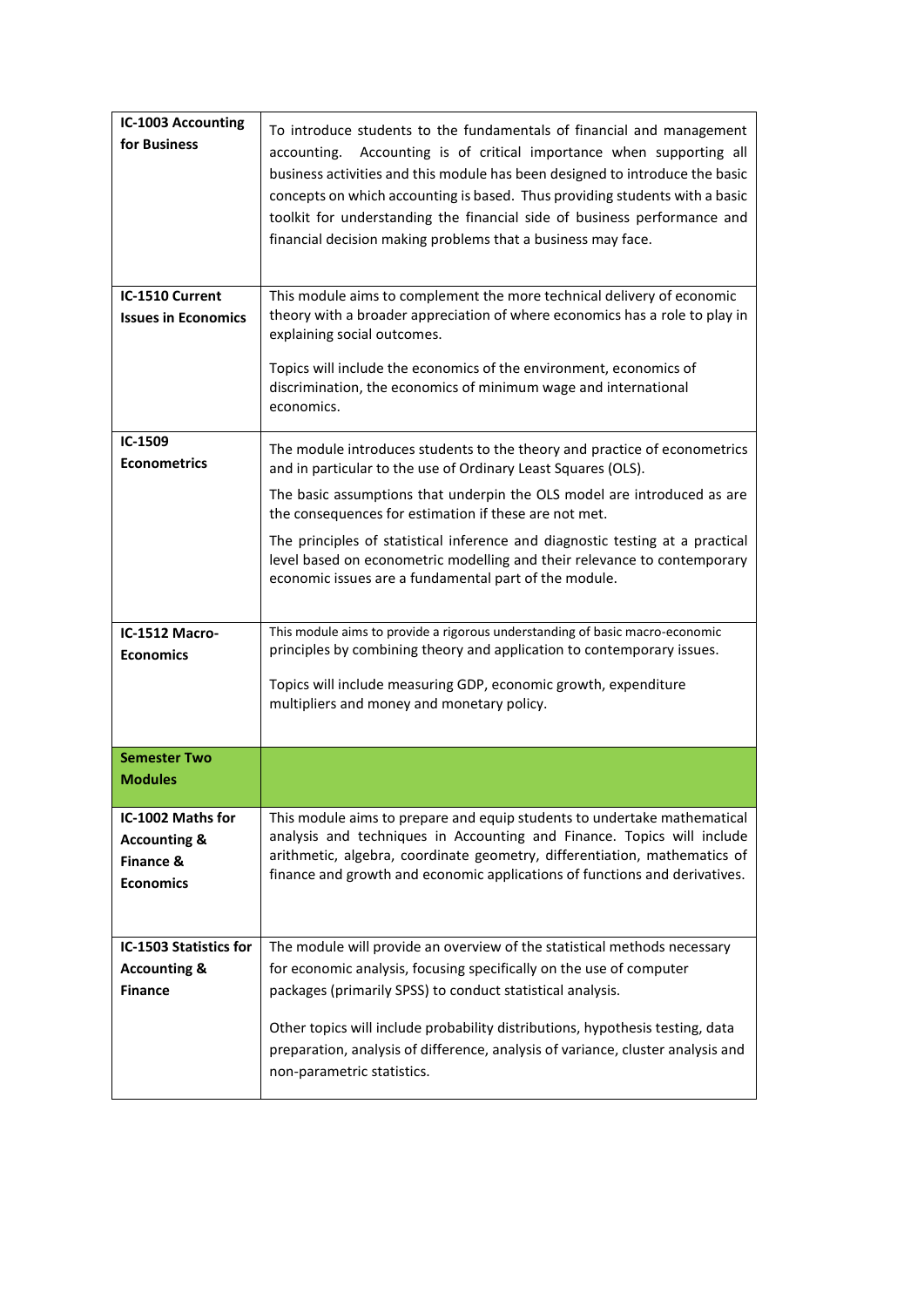| <b>IC-1003 Accounting</b><br>for Business                                     | To introduce students to the fundamentals of financial and management<br>Accounting is of critical importance when supporting all<br>accounting.<br>business activities and this module has been designed to introduce the basic<br>concepts on which accounting is based. Thus providing students with a basic<br>toolkit for understanding the financial side of business performance and<br>financial decision making problems that a business may face. |
|-------------------------------------------------------------------------------|-------------------------------------------------------------------------------------------------------------------------------------------------------------------------------------------------------------------------------------------------------------------------------------------------------------------------------------------------------------------------------------------------------------------------------------------------------------|
| IC-1510 Current<br><b>Issues in Economics</b>                                 | This module aims to complement the more technical delivery of economic<br>theory with a broader appreciation of where economics has a role to play in<br>explaining social outcomes.                                                                                                                                                                                                                                                                        |
|                                                                               | Topics will include the economics of the environment, economics of<br>discrimination, the economics of minimum wage and international<br>economics.                                                                                                                                                                                                                                                                                                         |
| IC-1509<br><b>Econometrics</b>                                                | The module introduces students to the theory and practice of econometrics<br>and in particular to the use of Ordinary Least Squares (OLS).                                                                                                                                                                                                                                                                                                                  |
|                                                                               | The basic assumptions that underpin the OLS model are introduced as are<br>the consequences for estimation if these are not met.                                                                                                                                                                                                                                                                                                                            |
|                                                                               | The principles of statistical inference and diagnostic testing at a practical<br>level based on econometric modelling and their relevance to contemporary<br>economic issues are a fundamental part of the module.                                                                                                                                                                                                                                          |
| IC-1512 Macro-<br><b>Economics</b>                                            | This module aims to provide a rigorous understanding of basic macro-economic<br>principles by combining theory and application to contemporary issues.                                                                                                                                                                                                                                                                                                      |
|                                                                               | Topics will include measuring GDP, economic growth, expenditure<br>multipliers and money and monetary policy.                                                                                                                                                                                                                                                                                                                                               |
| <b>Semester Two</b><br><b>Modules</b>                                         |                                                                                                                                                                                                                                                                                                                                                                                                                                                             |
| IC-1002 Maths for<br><b>Accounting &amp;</b><br>Finance &<br><b>Economics</b> | This module aims to prepare and equip students to undertake mathematical<br>analysis and techniques in Accounting and Finance. Topics will include<br>arithmetic, algebra, coordinate geometry, differentiation, mathematics of<br>finance and growth and economic applications of functions and derivatives.                                                                                                                                               |
| IC-1503 Statistics for<br><b>Accounting &amp;</b>                             | The module will provide an overview of the statistical methods necessary<br>for economic analysis, focusing specifically on the use of computer                                                                                                                                                                                                                                                                                                             |
| <b>Finance</b>                                                                | packages (primarily SPSS) to conduct statistical analysis.                                                                                                                                                                                                                                                                                                                                                                                                  |
|                                                                               | Other topics will include probability distributions, hypothesis testing, data<br>preparation, analysis of difference, analysis of variance, cluster analysis and<br>non-parametric statistics.                                                                                                                                                                                                                                                              |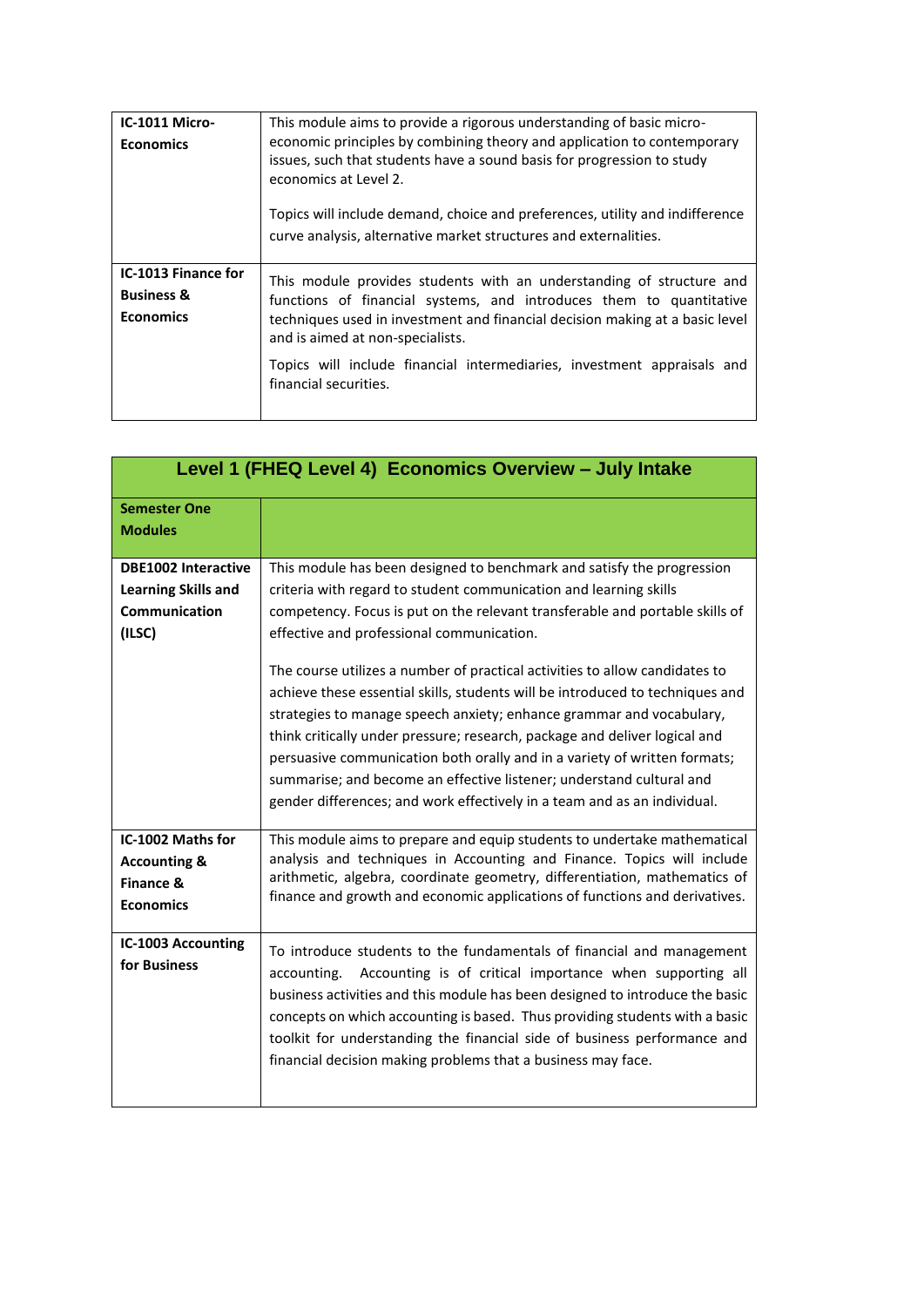| IC-1011 Micro-<br><b>Economics</b>                               | This module aims to provide a rigorous understanding of basic micro-<br>economic principles by combining theory and application to contemporary<br>issues, such that students have a sound basis for progression to study<br>economics at Level 2.<br>Topics will include demand, choice and preferences, utility and indifference<br>curve analysis, alternative market structures and externalities. |
|------------------------------------------------------------------|--------------------------------------------------------------------------------------------------------------------------------------------------------------------------------------------------------------------------------------------------------------------------------------------------------------------------------------------------------------------------------------------------------|
| IC-1013 Finance for<br><b>Business &amp;</b><br><b>Economics</b> | This module provides students with an understanding of structure and<br>functions of financial systems, and introduces them to quantitative<br>techniques used in investment and financial decision making at a basic level<br>and is aimed at non-specialists.<br>Topics will include financial intermediaries, investment appraisals and<br>financial securities.                                    |

| Level 1 (FHEQ Level 4) Economics Overview - July Intake                             |                                                                                                                                                                                                                                                                                                                                                                                                                                                                                                                                                                                                                                                                                                                                                                                                                                 |  |
|-------------------------------------------------------------------------------------|---------------------------------------------------------------------------------------------------------------------------------------------------------------------------------------------------------------------------------------------------------------------------------------------------------------------------------------------------------------------------------------------------------------------------------------------------------------------------------------------------------------------------------------------------------------------------------------------------------------------------------------------------------------------------------------------------------------------------------------------------------------------------------------------------------------------------------|--|
| <b>Semester One</b><br><b>Modules</b>                                               |                                                                                                                                                                                                                                                                                                                                                                                                                                                                                                                                                                                                                                                                                                                                                                                                                                 |  |
| <b>DBE1002 Interactive</b><br><b>Learning Skills and</b><br>Communication<br>(ILSC) | This module has been designed to benchmark and satisfy the progression<br>criteria with regard to student communication and learning skills<br>competency. Focus is put on the relevant transferable and portable skills of<br>effective and professional communication.<br>The course utilizes a number of practical activities to allow candidates to<br>achieve these essential skills, students will be introduced to techniques and<br>strategies to manage speech anxiety; enhance grammar and vocabulary,<br>think critically under pressure; research, package and deliver logical and<br>persuasive communication both orally and in a variety of written formats;<br>summarise; and become an effective listener; understand cultural and<br>gender differences; and work effectively in a team and as an individual. |  |
| IC-1002 Maths for<br><b>Accounting &amp;</b><br>Finance &<br><b>Economics</b>       | This module aims to prepare and equip students to undertake mathematical<br>analysis and techniques in Accounting and Finance. Topics will include<br>arithmetic, algebra, coordinate geometry, differentiation, mathematics of<br>finance and growth and economic applications of functions and derivatives.                                                                                                                                                                                                                                                                                                                                                                                                                                                                                                                   |  |
| <b>IC-1003 Accounting</b><br>for Business                                           | To introduce students to the fundamentals of financial and management<br>Accounting is of critical importance when supporting all<br>accounting.<br>business activities and this module has been designed to introduce the basic<br>concepts on which accounting is based. Thus providing students with a basic<br>toolkit for understanding the financial side of business performance and<br>financial decision making problems that a business may face.                                                                                                                                                                                                                                                                                                                                                                     |  |